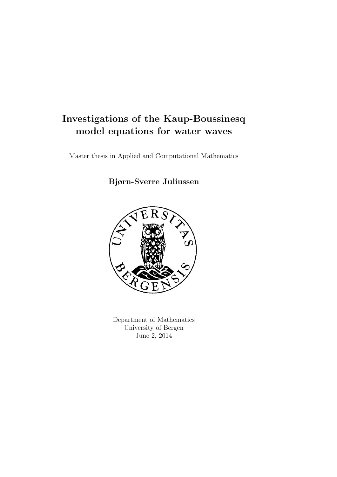## Investigations of the Kaup-Boussinesq model equations for water waves

Master thesis in Applied and Computational Mathematics

Bjørn-Sverre Juliussen



Department of Mathematics University of Bergen June 2, 2014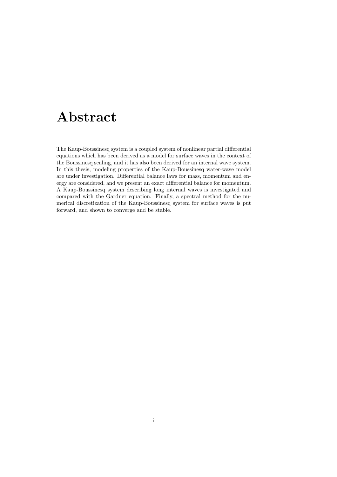# Abstract

The Kaup-Boussinesq system is a coupled system of nonlinear partial differential equations which has been derived as a model for surface waves in the context of the Boussinesq scaling, and it has also been derived for an internal wave system. In this thesis, modeling properties of the Kaup-Boussinesq water-wave model are under investigation. Differential balance laws for mass, momentum and energy are considered, and we present an exact differential balance for momentum. A Kaup-Boussinesq system describing long internal waves is investigated and compared with the Gardner equation. Finally, a spectral method for the numerical discretization of the Kaup-Boussinesq system for surface waves is put forward, and shown to converge and be stable.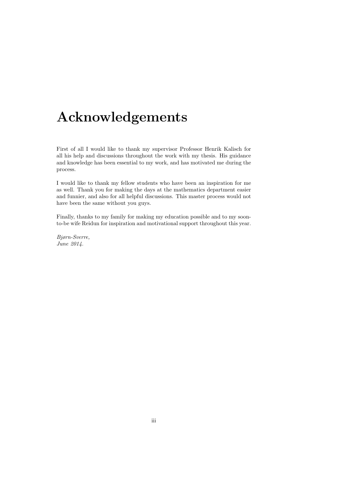# Acknowledgements

First of all I would like to thank my supervisor Professor Henrik Kalisch for all his help and discussions throughout the work with my thesis. His guidance and knowledge has been essential to my work, and has motivated me during the process.

I would like to thank my fellow students who have been an inspiration for me as well. Thank you for making the days at the mathematics department easier and funnier, and also for all helpful discussions. This master process would not have been the same without you guys.

Finally, thanks to my family for making my education possible and to my soonto-be wife Reidun for inspiration and motivational support throughout this year.

Bjørn-Sverre, June 2014.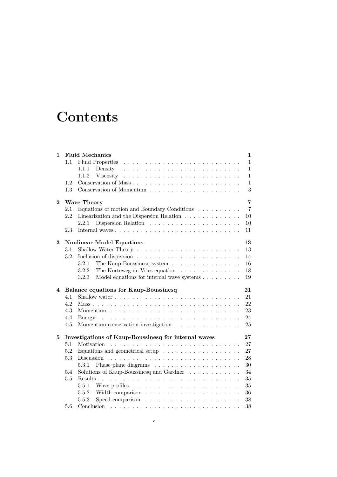# **Contents**

| 1        |         | <b>Fluid Mechanics</b>                                                                                                        | 1              |
|----------|---------|-------------------------------------------------------------------------------------------------------------------------------|----------------|
|          | 1.1     |                                                                                                                               | $\mathbf{1}$   |
|          |         | 1.1.1                                                                                                                         | 1              |
|          |         | 1.1.2                                                                                                                         | 1              |
|          | 1.2     |                                                                                                                               | 1              |
|          | 1.3     |                                                                                                                               | 3              |
| $\bf{2}$ |         | <b>Wave Theory</b>                                                                                                            | 7              |
|          | 2.1     | Equations of motion and Boundary Conditions $\ldots \ldots \ldots$                                                            | $\overline{7}$ |
|          | 2.2     | Linearization and the Dispersion Relation                                                                                     | 10             |
|          |         | 2.2.1                                                                                                                         | 10             |
|          | 2.3     |                                                                                                                               | 11             |
| 3        |         | <b>Nonlinear Model Equations</b>                                                                                              | 13             |
|          | 3.1     |                                                                                                                               | 13             |
|          | 3.2     |                                                                                                                               | 14             |
|          |         | 3.2.1<br>The Kaup-Boussinesq system                                                                                           | 16             |
|          |         | 3.2.2<br>The Korteweg-de Vries equation                                                                                       | 18             |
|          |         | 3.2.3<br>Model equations for internal wave systems                                                                            | 19             |
|          |         |                                                                                                                               |                |
| 4        |         | <b>Balance equations for Kaup-Boussinesq</b>                                                                                  | 21             |
|          | 4.1     |                                                                                                                               | 21             |
|          | 4.2     |                                                                                                                               | 22             |
|          | 4.3     |                                                                                                                               | 23             |
|          | 4.4     |                                                                                                                               | 24             |
|          | 4.5     | Momentum conservation investigation                                                                                           | 25             |
| 5        |         | Investigations of Kaup-Boussinesq for internal waves                                                                          | $27\,$         |
|          | 5.1     | Motivation                                                                                                                    | 27             |
|          | $5.2\,$ | Equations and geometrical setup $\ldots \ldots \ldots \ldots \ldots \ldots$                                                   | 27             |
|          | 5.3     |                                                                                                                               | 28             |
|          |         | 5.3.1                                                                                                                         | 30             |
|          | 5.4     | Solutions of Kaup-Boussinesq and Gardner                                                                                      | 34             |
|          | 5.5     |                                                                                                                               | 35             |
|          |         | 5.5.1                                                                                                                         | 35             |
|          |         | 5.5.2                                                                                                                         | 36             |
|          |         | 5.5.3                                                                                                                         | 38             |
|          | 5.6     | Conclusion<br>the contract of the contract of the contract of the contract of the contract of the contract of the contract of | 38             |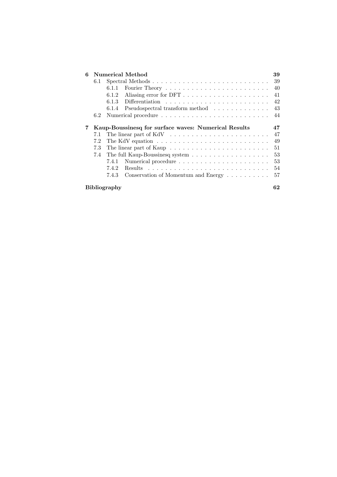| 6 |                     | Numerical Method                                                                   | 39 |  |  |  |
|---|---------------------|------------------------------------------------------------------------------------|----|--|--|--|
|   | 6.1                 |                                                                                    | 39 |  |  |  |
|   |                     | 6.1.1                                                                              | 40 |  |  |  |
|   |                     | 6.1.2                                                                              | 41 |  |  |  |
|   |                     | Differentiation $\ldots \ldots \ldots \ldots \ldots \ldots \ldots \ldots$<br>6.1.3 | 42 |  |  |  |
|   |                     | Pseudospectral transform method<br>6.1.4                                           | 43 |  |  |  |
|   | 6.2                 |                                                                                    | 44 |  |  |  |
|   |                     |                                                                                    |    |  |  |  |
| 7 |                     | Kaup-Boussinesq for surface waves: Numerical Results                               | 47 |  |  |  |
|   | 7.1                 |                                                                                    | 47 |  |  |  |
|   | 7.2                 | The KdV equation $\dots \dots \dots \dots \dots \dots \dots \dots \dots \dots$     | 49 |  |  |  |
|   | 7.3                 |                                                                                    | 51 |  |  |  |
|   | 7.4                 |                                                                                    | 53 |  |  |  |
|   |                     | 7.4.1                                                                              | 53 |  |  |  |
|   |                     | 7.4.2<br>Results                                                                   | 54 |  |  |  |
|   |                     | Conservation of Momentum and Energy $\dots \dots \dots$<br>7.4.3                   | 57 |  |  |  |
|   | <b>Bibliography</b> |                                                                                    |    |  |  |  |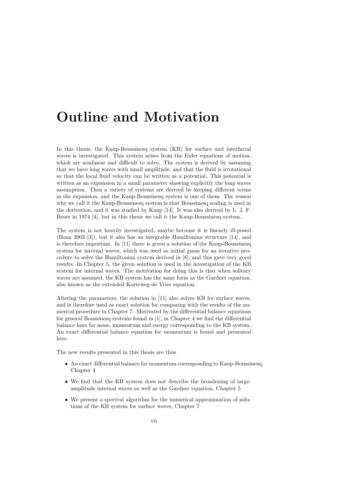## Outline and Motivation

In this thesis, the Kaup-Boussinesq system (KB) for surface and interfacial waves is investigated. This system arises from the Euler equations of motion, which are nonlinear and difficult to solve. The system is derived by assuming that we have long waves with small amplitude, and that the fluid is irrotational so that the local fluid velocity can be written as a potential. This potential is written as an expansion in a small parameter showing explicitly the long waves assumption. Then a variety of systems are derived by keeping different terms in the expansion, and the Kaup-Boussinesq system is one of them. The reason why we call it the Kaup-Boussinesq system is that Boussinesq scaling is used in the derivation, and it was studied by Kaup [14]. It was also derived by L. J. F. Broer in 1974 [4], but in this thesis we call it the Kaup-Boussinesq system.

The system is not heavily investigated, maybe because it is linearly ill-posed (Bona 2002 [3]), but it also has an integrable Hamiltonian structure [14], and is therefore important. In [11] there is given a solution of the Kaup-Boussinesq system for internal waves, which was used as initial guess for an iterative procedure to solve the Hamiltonian system derived in [8], and this gave very good results. In Chapter 5, the given solution is used in the investigation of the KB system for internal waves. The motivation for doing this is that when solitary waves are assumed, the KB system has the same form as the Gardner equation, also known as the extended Korteweg-de Vries equation.

Altering the parameters, the solution in [11] also solves KB for surface waves, and is therefore used as exact solution for comparing with the results of the numerical procedure in Chapter 7. Motivated by the differential balance equations for general Boussinesq systems found in [1], in Chapter 4 we find the differential balance laws for mass, momentum and energy corresponding to the KB system. An exact differential balance equation for momentum is found and presented here.

The new results presented in this thesis are thus

- An exact differential balance for momentum corresponding to Kaup-Boussinesq, Chapter 4
- We find that the KB system does not describe the broadening of largeamplitude internal waves as well as the Gardner equation, Chapter 5
- We present a spectral algorithm for the numerical approximation of solutions of the KB system for surface waves, Chapter 7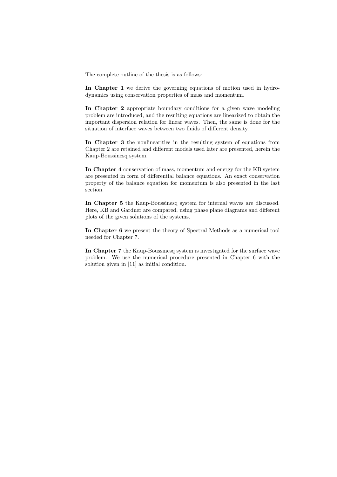The complete outline of the thesis is as follows:

In Chapter 1 we derive the governing equations of motion used in hydrodynamics using conservation properties of mass and momentum.

In Chapter 2 appropriate boundary conditions for a given wave modeling problem are introduced, and the resulting equations are linearized to obtain the important dispersion relation for linear waves. Then, the same is done for the situation of interface waves between two fluids of different density.

In Chapter 3 the nonlinearities in the resulting system of equations from Chapter 2 are retained and different models used later are presented, herein the Kaup-Boussinesq system.

In Chapter 4 conservation of mass, momentum and energy for the KB system are presented in form of differential balance equations. An exact conservation property of the balance equation for momentum is also presented in the last section.

In Chapter 5 the Kaup-Boussinesq system for internal waves are discussed. Here, KB and Gardner are compared, using phase plane diagrams and different plots of the given solutions of the systems.

In Chapter 6 we present the theory of Spectral Methods as a numerical tool needed for Chapter 7.

In Chapter 7 the Kaup-Boussinesq system is investigated for the surface wave problem. We use the numerical procedure presented in Chapter 6 with the solution given in [11] as initial condition.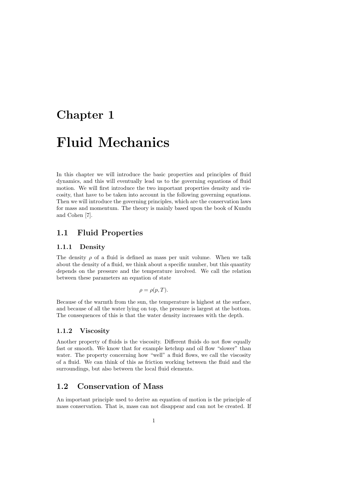## Chapter 1

## Fluid Mechanics

In this chapter we will introduce the basic properties and principles of fluid dynamics, and this will eventually lead us to the governing equations of fluid motion. We will first introduce the two important properties density and viscosity, that have to be taken into account in the following governing equations. Then we will introduce the governing principles, which are the conservation laws for mass and momentum. The theory is mainly based upon the book of Kundu and Cohen [7].

### 1.1 Fluid Properties

#### 1.1.1 Density

The density  $\rho$  of a fluid is defined as mass per unit volume. When we talk about the density of a fluid, we think about a specific number, but this quantity depends on the pressure and the temperature involved. We call the relation between these parameters an equation of state

$$
\rho = \rho(p, T).
$$

Because of the warmth from the sun, the temperature is highest at the surface, and because of all the water lying on top, the pressure is largest at the bottom. The consequences of this is that the water density increases with the depth.

#### 1.1.2 Viscosity

Another property of fluids is the viscosity. Different fluids do not flow equally fast or smooth. We know that for example ketchup and oil flow "slower" than water. The property concerning how "well" a fluid flows, we call the viscosity of a fluid. We can think of this as friction working between the fluid and the surroundings, but also between the local fluid elements.

### 1.2 Conservation of Mass

An important principle used to derive an equation of motion is the principle of mass conservation. That is, mass can not disappear and can not be created. If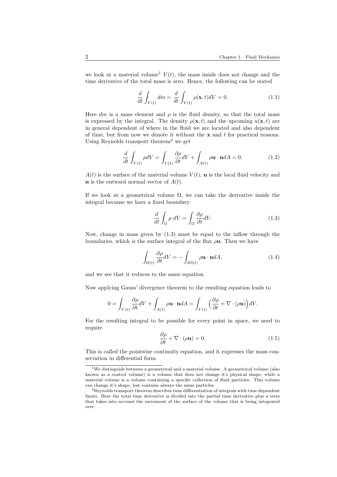we look at a material volume<sup>1</sup>  $V(t)$ , the mass inside does not change and the time derivative of the total mass is zero. Hence, the following can be stated

$$
\frac{d}{dt}\int_{V(t)}dm = \frac{d}{dt}\int_{V(t)}\rho(\mathbf{x},t)dV = 0.
$$
\n(1.1)

Here dm is a mass element and  $\rho$  is the fluid density, so that the total mass is expressed by the integral. The density  $\rho(\mathbf{x},t)$  and the upcoming  $u(\mathbf{x},t)$  are in general dependent of where in the fluid we are located and also dependent of time, but from now we denote it without the  $x$  and  $t$  for practical reasons. Using Reynolds transport theorem<sup>2</sup> we get

$$
\frac{d}{dt} \int_{V(t)} \rho dV = \int_{V(t)} \frac{\partial \rho}{\partial t} dV + \int_{A(t)} \rho \mathbf{u} \cdot \mathbf{n} dA = 0.
$$
 (1.2)

 $A(t)$  is the surface of the material volume  $V(t)$ , **u** is the local fluid velocity and **n** is the outward normal vector of  $A(t)$ .

If we look at a geometrical volume  $\Omega$ , we can take the derivative inside the integral because we have a fixed boundary

$$
\frac{d}{dt} \int_{\Omega} \rho \, dV = \int_{\Omega} \frac{\partial \rho}{\partial t} dV. \tag{1.3}
$$

Now, change in mass given by (1.3) must be equal to the inflow through the boundaries, which is the surface integral of the flux  $\rho$ **u**. Then we have

$$
\int_{\Omega(t)} \frac{\partial \rho}{\partial t} dV = -\int_{\partial \Omega(t)} \rho \mathbf{u} \cdot \mathbf{n} dA, \tag{1.4}
$$

and we see that it reduces to the same equation.

Now applying Gauss' divergence theorem to the resulting equation leads to

$$
0 = \int_{V(t)} \frac{\partial \rho}{\partial t} dV + \int_{A(t)} \rho \mathbf{u} \cdot \mathbf{n} dA = \int_{V(t)} \left(\frac{\partial \rho}{\partial t} + \nabla \cdot (\rho \mathbf{u})\right) dV.
$$

For the resulting integral to be possible for every point in space, we need to require

$$
\frac{\partial \rho}{\partial t} + \nabla \cdot (\rho \mathbf{u}) = 0.
$$
 (1.5)

This is called the pointwise continuity equation, and it expresses the mass conservation in differential form.

 $1$ We distinguish between a geometrical and a material volume. A geometrical volume (also known as a control volume) is a volume that does not change it's physical shape, while a material volume is a volume containing a specific collection of fluid particles. This volume can change it's shape, but contains always the same particles.

 $2R$ eynolds transport theorem describes time differentiation of integrals with time dependent limits. Here the total time derivative is divided into the partial time derivative plus a term that takes into account the movement of the surface of the volume that is being integrated over.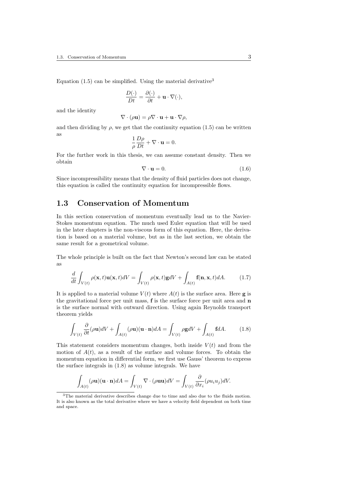Equation  $(1.5)$  can be simplified. Using the material derivative<sup>3</sup>

$$
\frac{D(\cdot)}{Dt} = \frac{\partial(\cdot)}{\partial t} + \mathbf{u} \cdot \nabla(\cdot),
$$

and the identity

$$
\nabla \cdot (\rho \mathbf{u}) = \rho \nabla \cdot \mathbf{u} + \mathbf{u} \cdot \nabla \rho,
$$

and then dividing by  $\rho$ , we get that the continuity equation (1.5) can be written as

$$
\frac{1}{\rho}\frac{D\rho}{Dt} + \nabla \cdot \mathbf{u} = 0.
$$

For the further work in this thesis, we can assume constant density. Then we obtain

$$
\nabla \cdot \mathbf{u} = 0. \tag{1.6}
$$

Since incompressibility means that the density of fluid particles does not change, this equation is called the continuity equation for incompressible flows.

#### 1.3 Conservation of Momentum

In this section conservation of momentum eventually lead us to the Navier-Stokes momentum equation. The much used Euler equation that will be used in the later chapters is the non-viscous form of this equation. Here, the derivation is based on a material volume, but as in the last section, we obtain the same result for a geometrical volume.

The whole principle is built on the fact that Newton's second law can be stated as

$$
\frac{d}{dt} \int_{V(t)} \rho(\mathbf{x}, t) \mathbf{u}(\mathbf{x}, t) dV = \int_{V(t)} \rho(\mathbf{x}, t) \mathbf{g} dV + \int_{A(t)} \mathbf{f}(\mathbf{n}, \mathbf{x}, t) dA. \tag{1.7}
$$

It is applied to a material volume  $V(t)$  where  $A(t)$  is the surface area. Here **g** is the gravitational force per unit mass, f is the surface force per unit area and n is the surface normal with outward direction. Using again Reynolds transport theorem yields

$$
\int_{V(t)} \frac{\partial}{\partial t} (\rho \mathbf{u}) dV + \int_{A(t)} (\rho \mathbf{u}) (\mathbf{u} \cdot \mathbf{n}) dA = \int_{V(t)} \rho \mathbf{g} dV + \int_{A(t)} \mathbf{f} dA. \tag{1.8}
$$

This statement considers momentum changes, both inside  $V(t)$  and from the motion of  $A(t)$ , as a result of the surface and volume forces. To obtain the momentum equation in differential form, we first use Gauss' theorem to express the surface integrals in (1.8) as volume integrals. We have

$$
\int_{A(t)} (\rho \mathbf{u})(\mathbf{u} \cdot \mathbf{n}) dA = \int_{V(t)} \nabla \cdot (\rho \mathbf{u}\mathbf{u}) dV = \int_{V(t)} \frac{\partial}{\partial x_i} (\rho u_i u_j) dV.
$$

<sup>&</sup>lt;sup>3</sup>The material derivative describes change due to time and also due to the fluids motion. It is also known as the total derivative where we have a velocity field dependent on both time and space.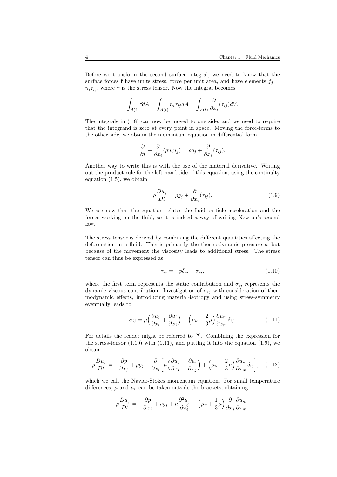Before we transform the second surface integral, we need to know that the surface forces **f** have units stress, force per unit area, and have elements  $f_i =$  $n_i \tau_{ij}$ , where  $\tau$  is the stress tensor. Now the integral becomes

$$
\int_{A(t)} f dA = \int_{A(t)} n_i \tau_{ij} dA = \int_{V(t)} \frac{\partial}{\partial x_i} (\tau_{ij}) dV.
$$

The integrals in (1.8) can now be moved to one side, and we need to require that the integrand is zero at every point in space. Moving the force-terms to the other side, we obtain the momentum equation in differential form

$$
\frac{\partial}{\partial t} + \frac{\partial}{\partial x_i} (\rho u_i u_j) = \rho g_j + \frac{\partial}{\partial x_i} (\tau_{ij}).
$$

Another way to write this is with the use of the material derivative. Writing out the product rule for the left-hand side of this equation, using the continuity equation (1.5), we obtain

$$
\rho \frac{Du_j}{Dt} = \rho g_j + \frac{\partial}{\partial x_i} (\tau_{ij}). \tag{1.9}
$$

We see now that the equation relates the fluid-particle acceleration and the forces working on the fluid, so it is indeed a way of writing Newton's second law.

The stress tensor is derived by combining the different quantities affecting the deformation in a fluid. This is primarily the thermodynamic pressure  $p$ , but because of the movement the viscosity leads to additional stress. The stress tensor can thus be expressed as

$$
\tau_{ij} = -p\delta_{ij} + \sigma_{ij},\tag{1.10}
$$

where the first term represents the static contribution and  $\sigma_{ij}$  represents the dynamic viscous contribution. Investigation of  $\sigma_{ij}$  with consideration of thermodynamic effects, introducing material-isotropy and using stress-symmetry eventually leads to

$$
\sigma_{ij} = \mu \left( \frac{\partial u_j}{\partial x_i} + \frac{\partial u_i}{\partial x_j} \right) + \left( \mu_\nu - \frac{2}{3} \mu \right) \frac{\partial u_m}{\partial x_m} \delta_{ij}.
$$
 (1.11)

For details the reader might be referred to [7]. Combining the expression for the stress-tensor  $(1.10)$  with  $(1.11)$ , and putting it into the equation  $(1.9)$ , we obtain

$$
\rho \frac{Du_j}{Dt} = -\frac{\partial p}{\partial x_j} + \rho g_j + \frac{\partial}{\partial x_i} \left[ \mu \left( \frac{\partial u_j}{\partial x_i} + \frac{\partial u_i}{\partial x_j} \right) + \left( \mu_\nu - \frac{2}{3} \mu \right) \frac{\partial u_m}{\partial x_m} \delta_{ij} \right], \quad (1.12)
$$

which we call the Navier-Stokes momentum equation. For small temperature differences,  $\mu$  and  $\mu$ <sub>v</sub> can be taken outside the brackets, obtaining

$$
\rho \frac{Du_j}{Dt} = -\frac{\partial p}{\partial x_j} + \rho g_j + \mu \frac{\partial^2 u_j}{\partial x_i^2} + \left(\mu_\nu + \frac{1}{3}\mu\right) \frac{\partial}{\partial x_j} \frac{\partial u_m}{\partial x_m}.
$$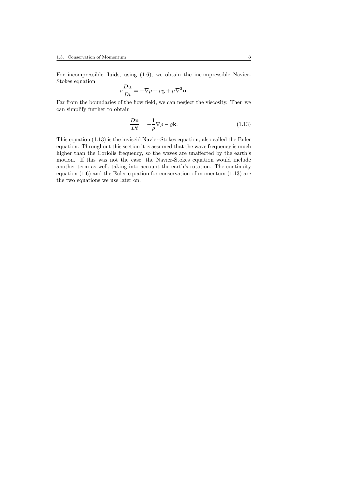For incompressible fluids, using (1.6), we obtain the incompressible Navier-Stokes equation

$$
\rho \frac{D\mathbf{u}}{Dt} = -\nabla p + \rho \mathbf{g} + \mu \nabla^2 \mathbf{u}.
$$

Far from the boundaries of the flow field, we can neglect the viscosity. Then we can simplify further to obtain

$$
\frac{D\mathbf{u}}{Dt} = -\frac{1}{\rho}\nabla p - g\mathbf{k}.\tag{1.13}
$$

This equation (1.13) is the inviscid Navier-Stokes equation, also called the Euler equation. Throughout this section it is assumed that the wave frequency is much higher than the Coriolis frequency, so the waves are unaffected by the earth's motion. If this was not the case, the Navier-Stokes equation would include another term as well, taking into account the earth's rotation. The continuity equation (1.6) and the Euler equation for conservation of momentum (1.13) are the two equations we use later on.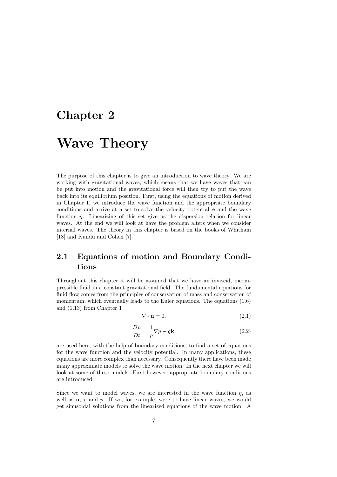## Chapter 2

# Wave Theory

The purpose of this chapter is to give an introduction to wave theory. We are working with gravitational waves, which means that we have waves that can be put into motion and the gravitational force will then try to put the wave back into its equilibrium position. First, using the equations of motion derived in Chapter 1, we introduce the wave function and the appropriate boundary conditions and arrive at a set to solve the velocity potential  $\phi$  and the wave function  $\eta$ . Linearizing of this set give us the dispersion relation for linear waves. At the end we will look at have the problem alters when we consider internal waves. The theory in this chapter is based on the books of Whitham [18] and Kundu and Cohen [7].

### 2.1 Equations of motion and Boundary Conditions

Throughout this chapter it will be assumed that we have an inviscid, incompressible fluid in a constant gravitational field. The fundamental equations for fluid flow comes from the principles of conservation of mass and conservation of momentum, which eventually leads to the Euler equations. The equations  $(1.6)$ and (1.13) from Chapter 1

$$
\nabla \cdot \mathbf{u} = 0,\tag{2.1}
$$

$$
\frac{D\mathbf{u}}{Dt} = \frac{1}{\rho}\nabla p - g\mathbf{k},\qquad(2.2)
$$

are used here, with the help of boundary conditions, to find a set of equations for the wave function and the velocity potential. In many applications, these equations are more complex than necessary. Consequently there have been made many approximate models to solve the wave motion. In the next chapter we will look at some of these models. First however, appropriate boundary conditions are introduced.

Since we want to model waves, we are interested in the wave function  $\eta$ , as well as  $u, \rho$  and  $p$ . If we, for example, were to have linear waves, we would get sinusoidal solutions from the linearized equations of the wave motion. A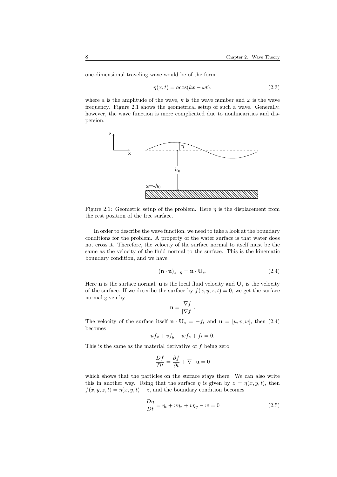one-dimensional traveling wave would be of the form

$$
\eta(x,t) = a\cos(kx - \omega t),\tag{2.3}
$$

where a is the amplitude of the wave, k is the wave number and  $\omega$  is the wave frequency. Figure 2.1 shows the geometrical setup of such a wave. Generally, however, the wave function is more complicated due to nonlinearities and dispersion.



Figure 2.1: Geometric setup of the problem. Here  $\eta$  is the displacement from the rest position of the free surface.

In order to describe the wave function, we need to take a look at the boundary conditions for the problem. A property of the water surface is that water does not cross it. Therefore, the velocity of the surface normal to itself must be the same as the velocity of the fluid normal to the surface. This is the kinematic boundary condition, and we have

$$
(\mathbf{n} \cdot \mathbf{u})_{z=\eta} = \mathbf{n} \cdot \mathbf{U}_s. \tag{2.4}
$$

Here **n** is the surface normal, **u** is the local fluid velocity and  $U_s$  is the velocity of the surface. If we describe the surface by  $f(x, y, z, t) = 0$ , we get the surface normal given by

$$
\mathbf{n} = \frac{\nabla f}{|\nabla f|}.
$$

The velocity of the surface itself  $\mathbf{n} \cdot \mathbf{U}_s = -f_t$  and  $\mathbf{u} = [u, v, w]$ , then (2.4) becomes

$$
uf_x + vf_y + wf_z + f_t = 0.
$$

This is the same as the material derivative of f being zero

$$
\frac{Df}{Dt} = \frac{\partial f}{\partial t} + \nabla \cdot \mathbf{u} = 0
$$

which shows that the particles on the surface stays there. We can also write this in another way. Using that the surface  $\eta$  is given by  $z = \eta(x, y, t)$ , then  $f(x, y, z, t) = \eta(x, y, t) - z$ , and the boundary condition becomes

$$
\frac{D\eta}{Dt} = \eta_t + u\eta_x + v\eta_y - w = 0
$$
\n(2.5)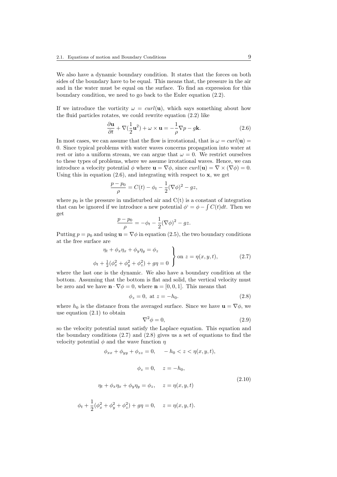We also have a dynamic boundary condition. It states that the forces on both sides of the boundary have to be equal. This means that, the pressure in the air and in the water must be equal on the surface. To find an expression for this boundary condition, we need to go back to the Euler equation (2.2).

If we introduce the vorticity  $\omega = \frac{curl(u)}{du}$ , which says something about how the fluid particles rotates, we could rewrite equation (2.2) like

$$
\frac{\partial \mathbf{u}}{\partial t} + \nabla (\frac{1}{2} \mathbf{u}^2) + \omega \times \mathbf{u} = -\frac{1}{\rho} \nabla p - g \mathbf{k}.
$$
 (2.6)

In most cases, we can assume that the flow is irrotational, that is  $\omega = \frac{curl(\mathbf{u})}{\mathbf{u}}$ 0. Since typical problems with water waves concerns propagation into water at rest or into a uniform stream, we can argue that  $\omega = 0$ . We restrict ourselves to these types of problems, where we assume irrotational waves. Hence, we can introduce a velocity potential  $\phi$  where  $\mathbf{u} = \nabla \phi$ , since  $curl(\mathbf{u}) = \nabla \times (\nabla \phi) = 0$ . Using this in equation  $(2.6)$ , and integrating with respect to  $x$ , we get

$$
\frac{p - p_0}{\rho} = C(t) - \phi_t - \frac{1}{2} (\nabla \phi)^2 - gz,
$$

where  $p_0$  is the pressure in undisturbed air and  $C(t)$  is a constant of integration that can be ignored if we introduce a new potential  $\phi^* = \phi - \int C(t) dt$ . Then we get

$$
\frac{p-p_0}{\rho} = -\phi_t - \frac{1}{2}(\nabla \phi)^2 - gz.
$$

Putting  $p = p_0$  and using  $\mathbf{u} = \nabla \phi$  in equation (2.5), the two boundary conditions at the free surface are

$$
\eta_t + \phi_x \eta_x + \phi_y \eta_y = \phi_z
$$
\n
$$
\phi_t + \frac{1}{2}(\phi_x^2 + \phi_y^2 + \phi_z^2) + g\eta = 0
$$
\n
$$
\left.\begin{array}{ccc}\n\text{on } z = \eta(x, y, t), & (2.7)\n\end{array}\right
$$

where the last one is the dynamic. We also have a boundary condition at the bottom. Assuming that the bottom is flat and solid, the vertical velocity must be zero and we have  $\mathbf{n} \cdot \nabla \phi = 0$ , where  $\mathbf{n} = [0, 0, 1]$ . This means that

$$
\phi_z = 0
$$
, at  $z = -h_0$ . (2.8)

where  $h_0$  is the distance from the averaged surface. Since we have  $\mathbf{u} = \nabla \phi$ , we use equation (2.1) to obtain

$$
\nabla^2 \phi = 0,\tag{2.9}
$$

so the velocity potential must satisfy the Laplace equation. This equation and the boundary conditions (2.7) and (2.8) gives us a set of equations to find the velocity potential  $\phi$  and the wave function  $\eta$ 

$$
\phi_{xx} + \phi_{yy} + \phi_{zz} = 0, \quad -h_0 < z < \eta(x, y, t),
$$

$$
\phi_z = 0, \quad z = -h_0,
$$
  

$$
\eta_t + \phi_x \eta_x + \phi_y \eta_y = \phi_z, \quad z = \eta(x, y, t)
$$
  

$$
\phi_t + \frac{1}{2}(\phi_x^2 + \phi_y^2 + \phi_z^2) + g\eta = 0, \quad z = \eta(x, y, t).
$$
 (2.10)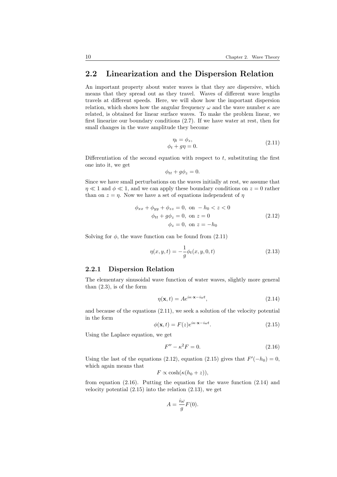### 2.2 Linearization and the Dispersion Relation

An important property about water waves is that they are dispersive, which means that they spread out as they travel. Waves of different wave lengths travels at different speeds. Here, we will show how the important dispersion relation, which shows how the angular frequency  $\omega$  and the wave number  $\kappa$  are related, is obtained for linear surface waves. To make the problem linear, we first linearize our boundary conditions (2.7). If we have water at rest, then for small changes in the wave amplitude they become

$$
\eta_t = \phi_z, \n\phi_t + g\eta = 0.
$$
\n(2.11)

Differentiation of the second equation with respect to  $t$ , substituting the first one into it, we get

$$
\phi_{tt} + g\phi_z = 0.
$$

Since we have small perturbations on the waves initially at rest, we assume that  $\eta \ll 1$  and  $\phi \ll 1$ , and we can apply these boundary conditions on  $z = 0$  rather than on  $z = \eta$ . Now we have a set of equations independent of  $\eta$ 

$$
\phi_{xx} + \phi_{yy} + \phi_{zz} = 0, \text{ on } -h_0 < z < 0
$$
  
\n
$$
\phi_{tt} + g\phi_z = 0, \text{ on } z = 0
$$
  
\n
$$
\phi_z = 0, \text{ on } z = -h_0
$$
\n(2.12)

Solving for  $\phi$ , the wave function can be found from  $(2.11)$ 

$$
\eta(x, y, t) = -\frac{1}{g}\phi_t(x, y, 0, t)
$$
\n(2.13)

#### 2.2.1 Dispersion Relation

The elementary sinusoidal wave function of water waves, slightly more general than  $(2.3)$ , is of the form

$$
\eta(\mathbf{x},t) = Ae^{i\kappa \cdot \mathbf{x} - i\omega t},\tag{2.14}
$$

and because of the equations (2.11), we seek a solution of the velocity potential in the form

$$
\phi(\mathbf{x},t) = F(z)e^{i\kappa \cdot \mathbf{x} - i\omega t}.\tag{2.15}
$$

Using the Laplace equation, we get

$$
F'' - \kappa^2 F = 0. \tag{2.16}
$$

Using the last of the equations (2.12), equation (2.15) gives that  $F'(-h_0) = 0$ , which again means that

$$
F \propto \cosh(\kappa(h_0+z)),
$$

from equation  $(2.16)$ . Putting the equation for the wave function  $(2.14)$  and velocity potential  $(2.15)$  into the relation  $(2.13)$ , we get

$$
A = \frac{i\omega}{g}F(0).
$$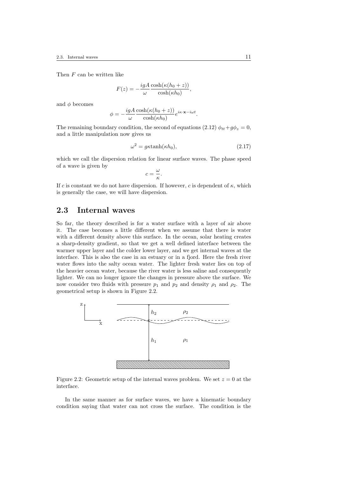Then F can be written like

$$
F(z) = -\frac{igA}{\omega} \frac{\cosh(\kappa(h_0 + z))}{\cosh(\kappa h_0)},
$$

and  $\phi$  becomes

$$
\phi = -\frac{igA}{\omega} \frac{\cosh(\kappa(h_0 + z))}{\cosh(\kappa h_0)} e^{i\kappa \cdot \mathbf{x} - i\omega t}.
$$

The remaining boundary condition, the second of equations (2.12)  $\phi_{tt} + q\phi_z = 0$ , and a little manipulation now gives us

$$
\omega^2 = g\kappa \tanh(\kappa h_0),\tag{2.17}
$$

which we call the dispersion relation for linear surface waves. The phase speed of a wave is given by

$$
c=\frac{\omega}{\kappa}.
$$

If c is constant we do not have dispersion. If however, c is dependent of  $\kappa$ , which is generally the case, we will have dispersion.

### 2.3 Internal waves

So far, the theory described is for a water surface with a layer of air above it. The case becomes a little different when we assume that there is water with a different density above this surface. In the ocean, solar heating creates a sharp-density gradient, so that we get a well defined interface between the warmer upper layer and the colder lower layer, and we get internal waves at the interface. This is also the case in an estuary or in a fjord. Here the fresh river water flows into the salty ocean water. The lighter fresh water lies on top of the heavier ocean water, because the river water is less saline and consequently lighter. We can no longer ignore the changes in pressure above the surface. We now consider two fluids with pressure  $p_1$  and  $p_2$  and density  $\rho_1$  and  $\rho_2$ . The geometrical setup is shown in Figure 2.2.



Figure 2.2: Geometric setup of the internal waves problem. We set  $z = 0$  at the interface.

In the same manner as for surface waves, we have a kinematic boundary condition saying that water can not cross the surface. The condition is the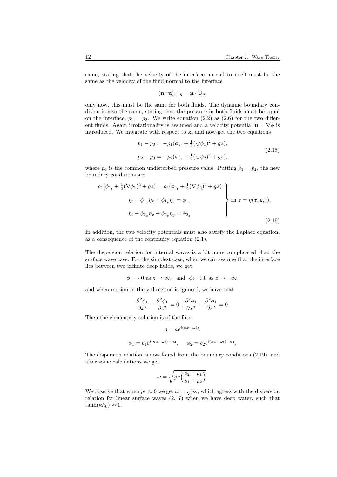same, stating that the velocity of the interface normal to itself must be the same as the velocity of the fluid normal to the interface

$$
(\mathbf{n} \cdot \mathbf{u})_{z=\eta} = \mathbf{n} \cdot \mathbf{U}_s,
$$

only now, this must be the same for both fluids. The dynamic boundary condition is also the same, stating that the pressure in both fluids must be equal on the interface,  $p_1 = p_2$ . We write equation (2.2) as (2.6) for the two different fluids. Again irrotationality is assumed and a velocity potential  $\mathbf{u} = \nabla \phi$  is introduced. We integrate with respect to  $x$ , and now get the two equations

$$
p_1 - p_0 = -\rho_1(\phi_{1t} + \frac{1}{2}(\nabla\phi_1)^2 + gz),
$$
  
\n
$$
p_2 - p_0 = -\rho_2(\phi_{2t} + \frac{1}{2}(\nabla\phi_2)^2 + gz),
$$
\n(2.18)

where  $p_0$  is the common undisturbed pressure value. Putting  $p_1 = p_2$ , the new boundary conditions are

$$
\rho_1(\phi_{1_t} + \frac{1}{2}(\nabla \phi_1)^2 + gz) = \rho_2(\phi_{2_t} + \frac{1}{2}(\nabla \phi_2)^2 + gz)
$$
\n
$$
\eta_t + \phi_{1_x}\eta_x + \phi_{1_y}\eta_y = \phi_{1_z}
$$
\n
$$
\eta_t + \phi_{2_x}\eta_x + \phi_{2_y}\eta_y = \phi_{2_z}
$$
\n(2.19)

In addition, the two velocity potentials must also satisfy the Laplace equation, as a consequence of the continuity equation (2.1).

The dispersion relation for internal waves is a bit more complicated than the surface wave case. For the simplest case, when we can assume that the interface lies between two infinite deep fluids, we get

$$
\phi_1 \to 0
$$
 as  $z \to \infty$ , and  $\phi_2 \to 0$  as  $z \to -\infty$ ,

and when motion in the y-direction is ignored, we have that

$$
\frac{\partial^2 \phi_1}{\partial x^2} + \frac{\partial^2 \phi_1}{\partial z^2} = 0 , \frac{\partial^2 \phi_1}{\partial x^2} + \frac{\partial^2 \phi_1}{\partial z^2} = 0.
$$

Then the elementary solution is of the form

$$
\eta = a e^{i(\kappa x - \omega t)},
$$
  

$$
\phi_1 = b_1 e^{i(\kappa x - \omega t) - \kappa z}, \quad \phi_2 = b_2 e^{i(\kappa x - \omega t) + \kappa z}.
$$

The dispersion relation is now found from the boundary conditions (2.19), and after some calculations we get

$$
\omega=\sqrt{g\kappa\Big(\frac{\rho_2-\rho_1}{\rho_1+\rho_2}\Big)}.
$$

We observe that when  $\rho_1 \approx 0$  we get  $\omega = \sqrt{g\kappa}$ , which agrees with the dispersion relation for linear surface waves (2.17) when we have deep water, such that  $tanh(\kappa h_0) \approx 1.$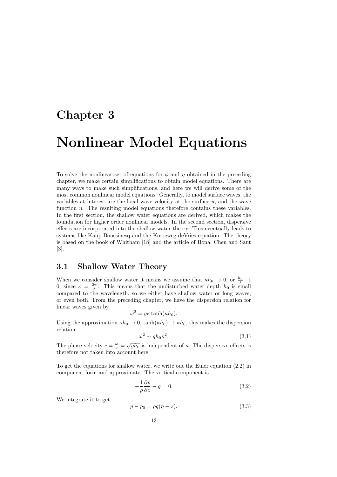## Chapter 3

# Nonlinear Model Equations

To solve the nonlinear set of equations for  $\phi$  and  $\eta$  obtained in the preceding chapter, we make certain simplifications to obtain model equations. There are many ways to make such simplifications, and here we will derive some of the most common nonlinear model equations. Generally, to model surface waves, the variables at interest are the local wave velocity at the surface  $u$ , and the wave function *n*. The resulting model equations therefore contains these variables. In the first section, the shallow water equations are derived, which makes the foundation for higher order nonlinear models. In the second section, dispersive effects are incorporated into the shallow water theory. This eventually leads to systems like Kaup-Boussinesq and the Korteweg-deVries equation. The theory is based on the book of Whitham [18] and the article of Bona, Chen and Saut [3].

#### 3.1 Shallow Water Theory

When we consider shallow water it means we assume that  $\kappa h_0 \to 0$ , or  $\frac{h_0}{\lambda} \to$ 0, since  $\kappa = \frac{2\pi}{\lambda}$ . This means that the undisturbed water depth  $h_0$  is small compared to the wavelength, so we either have shallow water or long waves, or even both. From the preceding chapter, we have the dispersion relation for linear waves given by

$$
\omega^2 = g\kappa \tanh(\kappa h_0).
$$

Using the approximation  $\kappa h_0 \to 0$ ,  $\tanh(\kappa h_0) \to \kappa h_0$ , this makes the dispersion relation

$$
\omega^2 \sim gh_0 \kappa^2. \tag{3.1}
$$

The phase velocity  $c = \frac{\omega}{\kappa} = \sqrt{gh_0}$  is independent of  $\kappa$ . The dispersive effects is therefore not taken into account here.

To get the equations for shallow water, we write out the Euler equation (2.2) in component form and approximate. The vertical component is

$$
-\frac{1}{\rho}\frac{\partial p}{\partial z} - g = 0.\tag{3.2}
$$

We integrate it to get

$$
p - p_0 = \rho g(\eta - z). \tag{3.3}
$$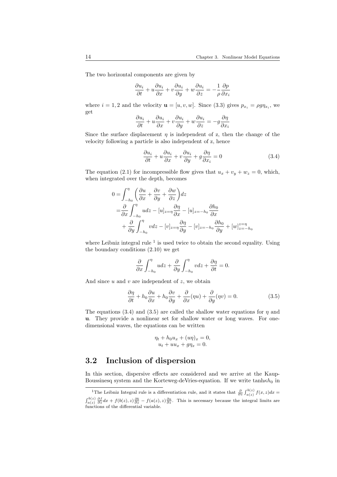The two horizontal components are given by

$$
\frac{\partial u_i}{\partial t} + u \frac{\partial u_i}{\partial x} + v \frac{\partial u_i}{\partial y} + w \frac{\partial u_i}{\partial z} = -\frac{1}{\rho} \frac{\partial p}{\partial x_i}
$$

where  $i = 1, 2$  and the velocity  $\mathbf{u} = [u, v, w]$ . Since (3.3) gives  $p_{x_i} = \rho g \eta_{x_i}$ , we get

$$
\frac{\partial u_i}{\partial t} + u \frac{\partial u_i}{\partial x} + v \frac{\partial u_i}{\partial y} + w \frac{\partial u_i}{\partial z} = -g \frac{\partial \eta}{\partial x_i}
$$

Since the surface displacement  $\eta$  is independent of z, then the change of the velocity following a particle is also independent of z, hence

$$
\frac{\partial u_i}{\partial t} + u \frac{\partial u_i}{\partial x} + v \frac{\partial u_i}{\partial y} + g \frac{\partial \eta}{\partial x_i} = 0
$$
\n(3.4)

The equation (2.1) for incompressible flow gives that  $u_x + v_y + w_z = 0$ , which, when integrated over the depth, becomes

$$
0 = \int_{-h_0}^{\eta} \left( \frac{\partial u}{\partial x} + \frac{\partial v}{\partial y} + \frac{\partial w}{\partial z} \right) dz
$$
  
=  $\frac{\partial}{\partial x} \int_{-h_0}^{\eta} u dz - [u]_{z=\eta} \frac{\partial \eta}{\partial x} - [u]_{z=-h_0} \frac{\partial h_0}{\partial x}$   
+  $\frac{\partial}{\partial y} \int_{-h_0}^{\eta} v dz - [v]_{z=\eta} \frac{\partial \eta}{\partial y} - [v]_{z=-h_0} \frac{\partial h_0}{\partial y} + [w]_{z=-h_0}^{z=\eta}$ 

where Leibniz integral rule  $<sup>1</sup>$  is used twice to obtain the second equality. Using</sup> the boundary conditions (2.10) we get

$$
\frac{\partial}{\partial x} \int_{-h_0}^{\eta} u dz + \frac{\partial}{\partial y} \int_{-h_0}^{\eta} v dz + \frac{\partial \eta}{\partial t} = 0.
$$

And since  $u$  and  $v$  are independent of  $z$ , we obtain

$$
\frac{\partial \eta}{\partial t} + h_0 \frac{\partial u}{\partial x} + h_0 \frac{\partial v}{\partial y} + \frac{\partial}{\partial x} (\eta u) + \frac{\partial}{\partial y} (\eta v) = 0.
$$
 (3.5)

The equations (3.4) and (3.5) are called the shallow water equations for  $\eta$  and u. They provide a nonlinear set for shallow water or long waves. For onedimensional waves, the equations can be written

$$
\eta_t + h_0 u_x + (u\eta)_x = 0,
$$
  

$$
u_t + u u_x + g\eta_x = 0.
$$

### 3.2 Inclusion of dispersion

In this section, dispersive effects are considered and we arrive at the Kaup-Boussinesq system and the Korteweg-deVries-equation. If we write  $tanh\kappa h_0$  in

<sup>&</sup>lt;sup>1</sup>The Leibniz Integral rule is a differentiation rule, and it states that  $\frac{\partial}{\partial z} \int_{a(z)}^{b(z)} f(x, z) dx =$  $\int_{a(z)}^{b(z)} \frac{\partial f}{\partial z} dx + f(b(z), z) \frac{\partial b}{\partial z} - f(a(z), z) \frac{\partial a}{\partial z}$ . This is necessary because the integral limits are functions of the differential variable.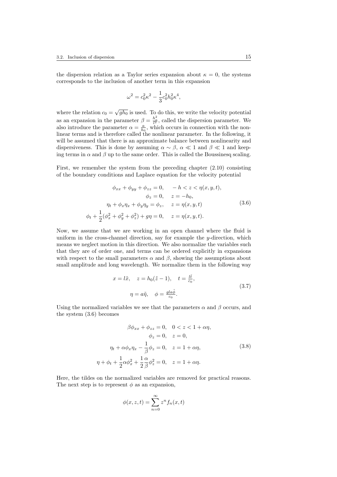the dispersion relation as a Taylor series expansion about  $\kappa = 0$ , the systems corresponds to the inclusion of another term in this expansion

$$
\omega^2 = c_0^2 \kappa^2 - \frac{1}{3} c_0^2 h_0^2 \kappa^4,
$$

where the relation  $c_0 = \sqrt{gh_0}$  is used. To do this, we write the velocity potential as an expansion in the parameter  $\beta = \frac{h_o^2}{l^2}$ , called the dispersion parameter. We also introduce the parameter  $\alpha = \frac{a}{h_0}$ , which occurs in connection with the nonlinear terms and is therefore called the nonlinear parameter. In the following, it will be assumed that there is an approximate balance between nonlinearity and dispersiveness. This is done by assuming  $\alpha \sim \beta$ ,  $\alpha \ll 1$  and  $\beta \ll 1$  and keeping terms in  $\alpha$  and  $\beta$  up to the same order. This is called the Boussinesq scaling.

First, we remember the system from the preceding chapter (2.10) consisting of the boundary conditions and Laplace equation for the velocity potential

$$
\phi_{xx} + \phi_{yy} + \phi_{zz} = 0, \t -h < z < \eta(x, y, t),
$$
  
\n
$$
\phi_z = 0, \t z = -h_0,
$$
  
\n
$$
\eta_t + \phi_x \eta_x + \phi_y \eta_y = \phi_z, \t z = \eta(x, y, t)
$$
  
\n
$$
\phi_t + \frac{1}{2}(\phi_x^2 + \phi_y^2 + \phi_z^2) + g\eta = 0, \t z = \eta(x, y, t).
$$
\n(3.6)

Now, we assume that we are working in an open channel where the fluid is uniform in the cross-channel direction, say for example the y-direction, which means we neglect motion in this direction. We also normalize the variables such that they are of order one, and terms can be ordered explicitly in expansions with respect to the small parameters  $\alpha$  and  $\beta$ , showing the assumptions about small amplitude and long wavelength. We normalize them in the following way

$$
x = l\tilde{x}, \quad z = h_0(\tilde{z} - 1), \quad t = \frac{l\tilde{t}}{c_0},
$$

$$
\eta = a\tilde{\eta}, \quad \phi = \frac{gla\tilde{\phi}}{c_0}.
$$

$$
(3.7)
$$

Using the normalized variables we see that the parameters  $\alpha$  and  $\beta$  occurs, and the system (3.6) becomes

$$
\beta \phi_{xx} + \phi_{zz} = 0, \quad 0 < z < 1 + \alpha \eta, \n\phi_z = 0, \quad z = 0, \n\eta_t + \alpha \phi_x \eta_x - \frac{1}{\beta} \phi_z = 0, \quad z = 1 + \alpha \eta, \n\eta + \phi_t + \frac{1}{2} \alpha \phi_x^2 + \frac{1}{2} \frac{\alpha}{\beta} \phi_z^2 = 0, \quad z = 1 + \alpha \eta.
$$
\n(3.8)

Here, the tildes on the normalized variables are removed for practical reasons. The next step is to represent  $\phi$  as an expansion,

$$
\phi(x, z, t) = \sum_{n=0}^{\infty} z^n f_n(x, t)
$$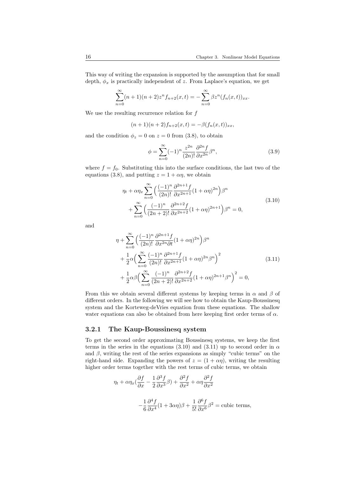This way of writing the expansion is supported by the assumption that for small depth,  $\phi_x$  is practically independent of z. From Laplace's equation, we get

$$
\sum_{n=0}^{\infty} (n+1)(n+2)z^n f_{n+2}(x,t) = -\sum_{n=0}^{\infty} \beta z^n (f_n(x,t))_{xx}.
$$

We use the resulting recurrence relation for  $f$ 

$$
(n+1)(n+2)f_{n+2}(x,t) = -\beta(f_n(x,t))_{xx},
$$

and the condition  $\phi_z = 0$  on  $z = 0$  from (3.8), to obtain

$$
\phi = \sum_{n=0}^{\infty} (-1)^n \frac{z^{2n}}{(2n)!} \frac{\partial^{2n} f}{\partial x^{2n}} \beta^n,
$$
\n(3.9)

where  $f = f_0$ . Substituting this into the surface conditions, the last two of the equations (3.8), and putting  $z = 1 + \alpha \eta$ , we obtain

$$
\eta_t + \alpha \eta_x \sum_{n=0}^{\infty} \left( \frac{(-1)^n}{(2n)!} \frac{\partial^{2n+1} f}{\partial x^{2n+1}} (1 + \alpha \eta)^{2n} \right) \beta^n + \sum_{n=0}^{\infty} \left( \frac{(-1)^n}{(2n+2)!} \frac{\partial^{2n+2} f}{\partial x^{2n+2}} (1 + \alpha \eta)^{2n+1} \right) \beta^n = 0,
$$
\n(3.10)

and

$$
\eta + \sum_{n=0}^{\infty} \left( \frac{(-1)^n}{(2n)!} \frac{\partial^{2n+1} f}{\partial x^{2n} \partial t} (1 + \alpha \eta)^{2n} \right) \beta^n \n+ \frac{1}{2} \alpha \left( \sum_{n=0}^{\infty} \frac{(-1)^n}{(2n)!} \frac{\partial^{2n+1} f}{\partial x^{2n+1}} (1 + \alpha \eta)^{2n} \beta^n \right)^2 \n+ \frac{1}{2} \alpha \beta \left( \sum_{n=0}^{\infty} \frac{(-1)^n}{(2n+2)!} \frac{\partial^{2n+2} f}{\partial x^{2n+2}} (1 + \alpha \eta)^{2n+1} \beta^n \right)^2 = 0,
$$
\n(3.11)

From this we obtain several different systems by keeping terms in  $\alpha$  and  $\beta$  of different orders. In the following we will see how to obtain the Kaup-Boussinesq system and the Korteweg-deVries equation from these equations. The shallow water equations can also be obtained from here keeping first order terms of  $\alpha$ .

#### 3.2.1 The Kaup-Boussinesq system

To get the second order approximating Boussinesq systems, we keep the first terms in the series in the equations (3.10) and (3.11) up to second order in  $\alpha$ and  $\beta$ , writing the rest of the series expansions as simply "cubic terms" on the right-hand side. Expanding the powers of  $z = (1 + \alpha \eta)$ , writing the resulting higher order terms together with the rest terms of cubic terms, we obtain

$$
\eta_t + \alpha \eta_x (\frac{\partial f}{\partial x} - \frac{1}{2} \frac{\partial^3 f}{\partial x^3} \beta) + \frac{\partial^2 f}{\partial x^2} + \alpha \eta \frac{\partial^2 f}{\partial x^2}
$$

$$
- \frac{1}{6} \frac{\partial^4 f}{\partial x^4} (1 + 3\alpha \eta) \beta + \frac{1}{5!} \frac{\partial^6 f}{\partial x^6} \beta^2 = \text{cubic terms},
$$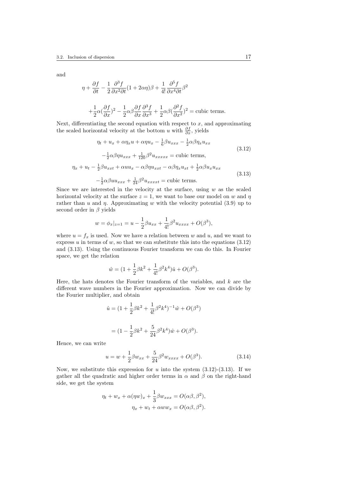and

$$
\eta + \frac{\partial f}{\partial t} - \frac{1}{2} \frac{\partial^3 f}{\partial x^2 \partial t} (1 + 2\alpha \eta) \beta + \frac{1}{4!} \frac{\partial^5 f}{\partial x^4 \partial t} \beta^2
$$

$$
+ \frac{1}{2} \alpha (\frac{\partial f}{\partial x})^2 - \frac{1}{2} \alpha \beta \frac{\partial f}{\partial x} \frac{\partial^3 f}{\partial x^3} + \frac{1}{2} \alpha \beta (\frac{\partial^2 f}{\partial x^2})^2 = \text{cubic terms.}
$$

Next, differentiating the second equation with respect to  $x$ , and approximating the scaled horizontal velocity at the bottom u with  $\frac{\partial f}{\partial x}$ , yields

$$
\eta_t + u_x + \alpha \eta_x u + \alpha \eta u_x - \frac{1}{6} \beta u_{xxx} - \frac{1}{2} \alpha \beta \eta_x u_{xx}
$$
\n
$$
- \frac{1}{2} \alpha \beta \eta u_{xxx} + \frac{1}{120} \beta^2 u_{xxxxx} = \text{cubic terms},
$$
\n
$$
\eta_x + u_t - \frac{1}{2} \beta u_{xxt} + \alpha u u_x - \alpha \beta \eta u_{xxt} - \alpha \beta \eta_x u_{xt} + \frac{1}{2} \alpha \beta u_x u_{xx}
$$
\n
$$
- \frac{1}{2} \alpha \beta u u_{xxx} + \frac{1}{24} \beta^2 u_{xxxxx} = \text{cubic terms}.
$$
\n(3.13)

Since we are interested in the velocity at the surface, using  $w$  as the scaled horizontal velocity at the surface  $z = 1$ , we want to base our model on w and  $\eta$ rather than u and  $\eta$ . Approximating w with the velocity potential (3.9) up to second order in  $\beta$  yields

$$
w = \phi_x|_{z=1} = u - \frac{1}{2}\beta u_{xx} + \frac{1}{4!}\beta^2 u_{xxxx} + O(\beta^3),
$$

where  $u = f_x$  is used. Now we have a relation between w and u, and we want to express u in terms of w, so that we can substitute this into the equations  $(3.12)$ and (3.13). Using the continuous Fourier transform we can do this. In Fourier space, we get the relation

$$
\hat{w} = (1 + \frac{1}{2}\beta k^2 + \frac{1}{4!}\beta^2 k^4)\hat{u} + O(\beta^3).
$$

Here, the hats denotes the Fourier transform of the variables, and  $k$  are the different wave numbers in the Fourier approximation. Now we can divide by the Fourier multiplier, and obtain

$$
\hat{u} = (1 + \frac{1}{2}\beta k^2 + \frac{1}{4!}\beta^2 k^4)^{-1}\hat{w} + O(\beta^3)
$$

$$
= (1 - \frac{1}{2}\beta k^2 + \frac{5}{24}\beta^2 k^4)\hat{w} + O(\beta^3).
$$

Hence, we can write

$$
u = w + \frac{1}{2}\beta w_{xx} + \frac{5}{24}\beta^2 w_{xxxx} + O(\beta^3).
$$
 (3.14)

Now, we substitute this expression for u into the system  $(3.12)-(3.13)$ . If we gather all the quadratic and higher order terms in  $\alpha$  and  $\beta$  on the right-hand side, we get the system

$$
\eta_t + w_x + \alpha(\eta w)_x + \frac{1}{3}\beta w_{xxx} = O(\alpha \beta, \beta^2),
$$
  

$$
\eta_x + w_t + \alpha w w_x = O(\alpha \beta, \beta^2).
$$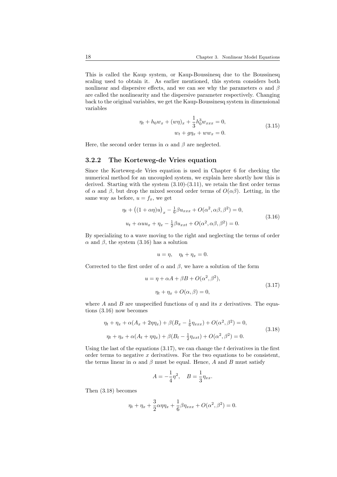This is called the Kaup system, or Kaup-Boussinesq due to the Boussinesq scaling used to obtain it. As earlier mentioned, this system considers both nonlinear and dispersive effects, and we can see why the parameters  $\alpha$  and  $\beta$ are called the nonlinearity and the dispersive parameter respectively. Changing back to the original variables, we get the Kaup-Boussinesq system in dimensional variables

$$
\eta_t + h_0 w_x + (w\eta)_x + \frac{1}{3} h_0^3 w_{xxx} = 0,
$$
  
\n
$$
w_t + g\eta_x + w w_x = 0.
$$
\n(3.15)

Here, the second order terms in  $\alpha$  and  $\beta$  are neglected.

#### 3.2.2 The Korteweg-de Vries equation

Since the Korteweg-de Vries equation is used in Chapter 6 for checking the numerical method for an uncoupled system, we explain here shortly how this is derived. Starting with the system  $(3.10)-(3.11)$ , we retain the first order terms of  $\alpha$  and  $\beta$ , but drop the mixed second order terms of  $O(\alpha\beta)$ . Letting, in the same way as before,  $u = f_x$ , we get

$$
\eta_t + \left( (1 + \alpha \eta) u \right)_x - \frac{1}{6} \beta u_{xxx} + O(\alpha^2, \alpha \beta, \beta^2) = 0,
$$
  

$$
u_t + \alpha u u_x + \eta_x - \frac{1}{2} \beta u_{xxt} + O(\alpha^2, \alpha \beta, \beta^2) = 0.
$$
 (3.16)

By specializing to a wave moving to the right and neglecting the terms of order  $\alpha$  and  $\beta$ , the system (3.16) has a solution

$$
u=\eta, \quad \eta_t+\eta_x=0.
$$

Corrected to the first order of  $\alpha$  and  $\beta$ , we have a solution of the form

$$
u = \eta + \alpha A + \beta B + O(\alpha^2, \beta^2),
$$
  
\n
$$
\eta_t + \eta_x + O(\alpha, \beta) = 0,
$$
\n(3.17)

where A and B are unspecified functions of  $\eta$  and its x derivatives. The equations (3.16) now becomes

$$
\eta_t + \eta_x + \alpha(A_x + 2\eta\eta_x) + \beta(B_x - \frac{1}{6}\eta_{xxx}) + O(\alpha^2, \beta^2) = 0,
$$
  

$$
\eta_t + \eta_x + \alpha(A_t + \eta\eta_x) + \beta(B_t - \frac{1}{2}\eta_{xxt}) + O(\alpha^2, \beta^2) = 0.
$$
 (3.18)

Using the last of the equations  $(3.17)$ , we can change the t derivatives in the first order terms to negative  $x$  derivatives. For the two equations to be consistent, the terms linear in  $\alpha$  and  $\beta$  must be equal. Hence, A and B must satisfy

$$
A = -\frac{1}{4}\eta^2, \quad B = \frac{1}{3}\eta_{xx}.
$$

Then (3.18) becomes

$$
\eta_t + \eta_x + \frac{3}{2}\alpha \eta \eta_x + \frac{1}{6}\beta \eta_{xxx} + O(\alpha^2, \beta^2) = 0.
$$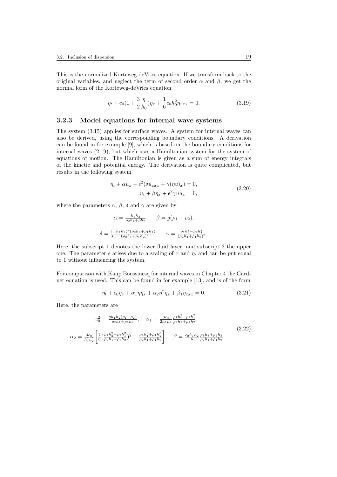This is the normalized Korteweg-deVries equation. If we transform back to the original variables, and neglect the term of second order  $\alpha$  and  $\beta$ , we get the normal form of the Korteweg-deVries equation

$$
\eta_t + c_0 \left(1 + \frac{3}{2} \frac{\eta}{h_0}\right) \eta_x + \frac{1}{6} c_0 h_0^2 \eta_{xxx} = 0. \tag{3.19}
$$

#### 3.2.3 Model equations for internal wave systems

The system (3.15) applies for surface waves. A system for internal waves can also be derived, using the corresponding boundary conditions. A derivation can be found in for example [9], which is based on the boundary conditions for internal waves (2.19), but which uses a Hamiltonian system for the system of equations of motion. The Hamiltonian is given as a sum of energy integrals of the kinetic and potential energy. The derivation is quite complicated, but results in the following system

$$
\eta_t + \alpha u_x + \epsilon^2 (\delta u_{xxx} + \gamma(\eta u)_x) = 0,
$$
  
\n
$$
u_t + \beta \eta_x + \epsilon^2 \gamma u u_x = 0,
$$
\n(3.20)

where the parameters  $\alpha$ ,  $\beta$ ,  $\delta$  and  $\gamma$  are given by

$$
\alpha = \frac{h_1 h_2}{\rho_2 h_1 + \rho h_2}, \quad \beta = g(\rho_1 - \rho_2),
$$
  

$$
\delta = \frac{1}{3} \frac{(h_1 h_2)^2 (\rho_2 h_2 + \rho_1 h_1)}{(\rho_2 h_1 + \rho_1 h_2)^2}, \quad \gamma = \frac{\rho_1 h_2^2 - \rho_2 h_1^2}{(\rho_2 h_1 + \rho_1 h_2)^2}.
$$

Here, the subscript 1 denotes the lower fluid layer, and subscript 2 the upper one. The parameter  $\epsilon$  arises due to a scaling of x and  $\eta$ , and can be put equal to 1 without influencing the system.

For comparison with Kaup Boussinesq for internal waves in Chapter 4 the Gardner equation is used. This can be found in for example [13], and is of the form

$$
\eta_t + c_0 \eta_x + \alpha_1 \eta \eta_x + \alpha_2 \eta^2 \eta_x + \beta_1 \eta_{xxx} = 0. \tag{3.21}
$$

Here, the parameters are

$$
c_0^2 = \frac{gh_1h_2(\rho_1 - \rho_2)}{\rho_2h_1 + \rho_1h_2}, \quad \alpha_1 = \frac{3c_0}{2h_1h_2} \frac{\rho_1h_2^2 - \rho_2h_1^2}{\rho_2h_1 + \rho_1h_2},
$$
  
\n
$$
\alpha_2 = \frac{3c_0}{h_1^2h_2^2} \left[ \frac{7}{8} \left( \frac{\rho_1h_2^2 - \rho_2h_1^2}{\rho_2h_1 + \rho_1h_2} \right)^2 - \frac{\rho_2h_1^3 + \rho_1h_2^3}{\rho_2h_1 + \rho_1h_2} \right], \quad \beta = \frac{c_0h_1h_2}{6} \frac{\rho_1h_1 + \rho_2h_2}{\rho_2h_1 + \rho_1h_2}
$$
\n(3.22)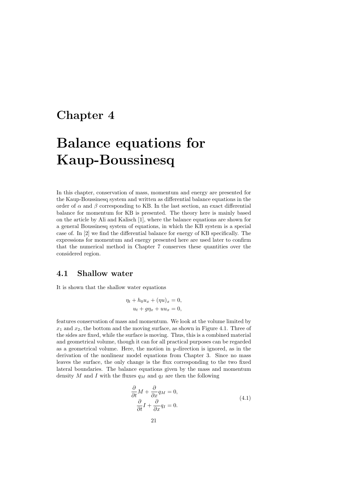### Chapter 4

# Balance equations for Kaup-Boussinesq

In this chapter, conservation of mass, momentum and energy are presented for the Kaup-Boussinesq system and written as differential balance equations in the order of  $\alpha$  and  $\beta$  corresponding to KB. In the last section, an exact differential balance for momentum for KB is presented. The theory here is mainly based on the article by Ali and Kalisch [1], where the balance equations are shown for a general Boussinesq system of equations, in which the KB system is a special case of. In [2] we find the differential balance for energy of KB specifically. The expressions for momentum and energy presented here are used later to confirm that the numerical method in Chapter 7 conserves these quantities over the considered region.

#### 4.1 Shallow water

It is shown that the shallow water equations

$$
\eta_t + h_0 u_x + (\eta u)_x = 0,
$$
  

$$
u_t + g\eta_x + u u_x = 0,
$$

features conservation of mass and momentum. We look at the volume limited by  $x_1$  and  $x_2$ , the bottom and the moving surface, as shown in Figure 4.1. Three of the sides are fixed, while the surface is moving. Thus, this is a combined material and geometrical volume, though it can for all practical purposes can be regarded as a geometrical volume. Here, the motion in  $y$ -direction is ignored, as in the derivation of the nonlinear model equations from Chapter 3. Since no mass leaves the surface, the only change is the flux corresponding to the two fixed lateral boundaries. The balance equations given by the mass and momentum density M and I with the fluxes  $q_M$  and  $q_I$  are then the following

$$
\frac{\partial}{\partial t}M + \frac{\partial}{\partial x}q_M = 0,
$$
  
\n
$$
\frac{\partial}{\partial t}I + \frac{\partial}{\partial x}q_I = 0.
$$
\n(4.1)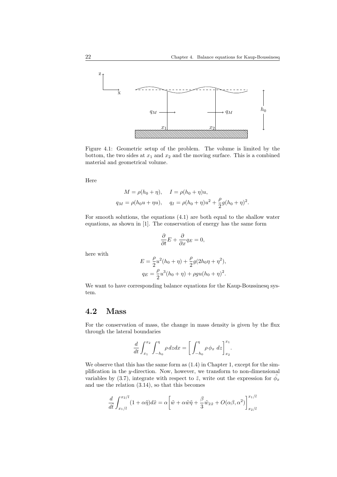

Figure 4.1: Geometric setup of the problem. The volume is limited by the bottom, the two sides at  $x_1$  and  $x_2$  and the moving surface. This is a combined material and geometrical volume.

Here

$$
M = \rho(h_0 + \eta), \quad I = \rho(h_0 + \eta)u,
$$
  
\n
$$
q_M = \rho(h_0 u + \eta u), \quad q_I = \rho(h_0 + \eta)u^2 + \frac{\rho}{2}g(h_0 + \eta)^2.
$$

For smooth solutions, the equations (4.1) are both equal to the shallow water equations, as shown in [1]. The conservation of energy has the same form

$$
\frac{\partial}{\partial t}E + \frac{\partial}{\partial x}q_E = 0,
$$

here with

$$
E = \frac{\rho}{2}u^2(h_0 + \eta) + \frac{\rho}{2}g(2h_0\eta + \eta^2),
$$
  
\n
$$
q_E = \frac{\rho}{2}u^3(h_0 + \eta) + \rho gu(h_0 + \eta)^2.
$$

We want to have corresponding balance equations for the Kaup-Boussinesq system.

### 4.2 Mass

For the conservation of mass, the change in mass density is given by the flux through the lateral boundaries

$$
\frac{d}{dt} \int_{x_1}^{x_2} \int_{-h_0}^{\eta} \rho \, dz dx = \left[ \int_{-h_0}^{\eta} \rho \, \phi_x \, dz \right]_{x_2}^{x_1}.
$$

We observe that this has the same form as  $(1.4)$  in Chapter 1, except for the simplification in the y-direction. Now, however, we transform to non-dimensional variables by (3.7), integrate with respect to  $\tilde{z}$ , write out the expression for  $\tilde{\phi}_x$ and use the relation (3.14), so that this becomes

$$
\frac{d}{d\tilde{t}} \int_{x_1/l}^{x_2/l} (1 + \alpha \tilde{\eta}) d\tilde{x} = \alpha \left[ \tilde{w} + \alpha \tilde{w} \tilde{\eta} + \frac{\beta}{3} \tilde{w}_{\tilde{x}\tilde{x}} + O(\alpha \beta, \alpha^2) \right]_{x_2/l}^{x_1/l}
$$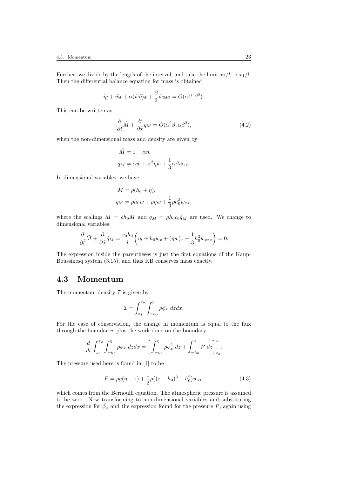Further, we divide by the length of the interval, and take the limit  $x_2/l \rightarrow x_1/l$ . Then the differential balance equation for mass is obtained

$$
\tilde{\eta}_{\tilde{t}} + \tilde{w}_{\tilde{x}} + \alpha(\tilde{w}\tilde{\eta})_{\tilde{x}} + \frac{\beta}{3}\tilde{w}_{\tilde{x}\tilde{x}\tilde{x}} = O(\alpha\beta, \beta^2).
$$

This can be written as

$$
\frac{\partial}{\partial \tilde{t}} \tilde{M} + \frac{\partial}{\partial \tilde{x}} \tilde{q}_M = O(\alpha^2 \beta, \alpha \beta^2), \tag{4.2}
$$

when the non-dimensional mass and density are given by

$$
\tilde{M} = 1 + \alpha \tilde{\eta},
$$
  
\n
$$
\tilde{q}_M = \alpha \tilde{w} + \alpha^2 \tilde{\eta} \tilde{w} + \frac{1}{3} \alpha \beta \tilde{w}_{\tilde{x}\tilde{x}}.
$$

In dimensional variables, we have

$$
M = \rho(h_0 + \eta),
$$
  
\n
$$
q_M = \rho h_0 w + \rho \eta w + \frac{1}{3} \rho h_0^3 w_{xx},
$$

where the scalings  $M = \rho h_0 \tilde{M}$  and  $q_M = \rho h_0 c_0 \tilde{q}_M$  are used. We change to dimensional variables

$$
\frac{\partial}{\partial \tilde{t}}\tilde{M} + \frac{\partial}{\partial \tilde{x}}\tilde{q}_M = \frac{c_0h_0}{l} \left(\eta_t + h_0w_x + (\eta w)_x + \frac{1}{3}h_0^3w_{xxx}\right) = 0.
$$

The expression inside the parentheses is just the first equations of the Kaup-Boussinesq system (3.15), and thus KB conserves mass exactly.

#### 4.3 Momentum

The momentum density  $\mathcal I$  is given by

$$
\mathcal{I} = \int_{x_1}^{x_2} \int_{-h_0}^{\eta} \rho \phi_x \, dz dx.
$$

For the case of conservation, the change in momentum is equal to the flux through the boundaries plus the work done on the boundary

$$
\frac{d}{dt} \int_{x_1}^{x_2} \int_{-h_0}^{\eta} \rho \phi_x \, dz dx = \left[ \int_{-h_0}^{\eta} \rho \phi_x^2 \, dz + \int_{-h_0}^{\eta} P \, dz \right]_{x_2}^{x_1}.
$$

The pressure used here is found in [1] to be

$$
P = \rho g(\eta - z) + \frac{1}{2}\rho((z + h_0)^2 - h_0^2)w_{xt},
$$
\n(4.3)

which comes from the Bernoulli equation. The atmospheric pressure is assumed to be zero. Now transforming to non-dimensional variables and substituting the expression for  $\tilde{\phi}_x$  and the expression found for the pressure P, again using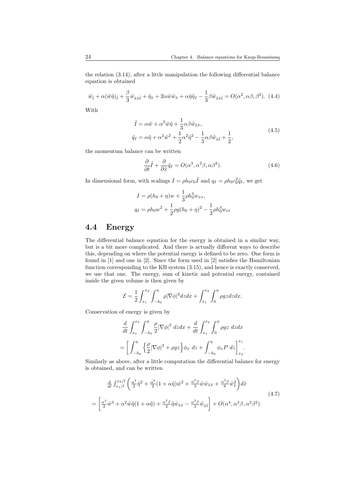the relation (3.14), after a little manipulation the following differential balance equation is obtained

$$
\tilde{w}_{\tilde{t}} + \alpha (\tilde{w}\tilde{\eta})_{\tilde{t}} + \frac{\beta}{3} \tilde{w}_{\tilde{x}\tilde{x}\tilde{t}} + \tilde{\eta}_{\tilde{x}} + 2\alpha \tilde{w}\tilde{w}_{\tilde{x}} + \alpha \tilde{\eta}\tilde{\eta}_{\tilde{x}} - \frac{1}{3} \beta \tilde{w}_{\tilde{x}\tilde{x}\tilde{t}} = O(\alpha^2, \alpha \beta, \beta^2). \tag{4.4}
$$

With

$$
\tilde{I} = \alpha \tilde{w} + \alpha^2 \tilde{w}\tilde{\eta} + \frac{1}{3} \alpha \beta \tilde{w}_{\tilde{x}\tilde{x}},
$$
  
\n
$$
\tilde{q}_I = \alpha \tilde{\eta} + \alpha^2 \tilde{w}^2 + \frac{1}{2} \alpha^2 \tilde{\eta}^2 - \frac{1}{3} \alpha \beta \tilde{w}_{\tilde{x}\tilde{t}} + \frac{1}{2},
$$
\n(4.5)

the momentum balance can be written

$$
\frac{\partial}{\partial \tilde{t}} \tilde{I} + \frac{\partial}{\partial \tilde{x}} \tilde{q}_I = O(\alpha^3, \alpha^2 \beta, \alpha \beta^2).
$$
 (4.6)

In dimensional form, with scalings  $I = \rho h_0 c_0 \tilde{I}$  and  $q_I = \rho h_0 c_0^2 \tilde{q}_I$ , we get

$$
I = \rho(h_0 + \eta)w + \frac{1}{3}\rho h_0^3 w_{xx},
$$
  
\n
$$
q_I = \rho h_0 w^2 + \frac{1}{2}\rho g(h_0 + \eta)^2 - \frac{1}{3}\rho h_0^3 w_{xt}
$$

### 4.4 Energy

The differential balance equation for the energy is obtained in a similar way, but is a bit more complicated. And there is actually different ways to describe this, depending on where the potential energy is defined to be zero. One form is found in [1] and one in [2]. Since the form used in [2] satisfies the Hamiltonian function corresponding to the KB system (3.15), and hence is exactly conserved, we use that one. The energy, sum of kinetic and potential energy, contained inside the given volume is then given by

$$
\mathcal{E} = \frac{1}{2} \int_{x_1}^{x_2} \int_{-h_0}^{\eta} \rho |\nabla \phi|^2 dz dx + \int_{x_1}^{x_2} \int_0^{\eta} \rho gz dz dx.
$$

Conservation of energy is given by

$$
\frac{d}{dt} \int_{x_1}^{x_2} \int_{-h_0}^{\eta} \frac{\rho}{2} |\nabla \phi|^2 dz dx + \frac{d}{dt} \int_{x_1}^{x_2} \int_{0}^{\eta} \rho g z dz dx
$$

$$
= \left[ \int_{-h_0}^{\eta} \left\{ \frac{\rho}{2} |\nabla \phi|^2 + \rho g z \right\} \phi_x dz + \int_{-h_0}^{\eta} \phi_x P dz \right]_{x_2}^{x_1}.
$$

Similarly as above, after a little computation the differential balance for energy is obtained, and can be written

$$
\frac{d}{dt} \int_{x_1/l}^{x_2/l} \left( \frac{\alpha^2}{2} \tilde{\eta}^2 + \frac{\alpha^2}{2} (1 + \alpha \tilde{\eta}) \tilde{w}^2 + \frac{\alpha^2 \beta}{3} \tilde{w} \tilde{w}_{\tilde{x}\tilde{x}} + \frac{\alpha^2 \beta}{6} \tilde{w}_{\tilde{x}}^2 \right) d\tilde{x}
$$
\n
$$
= \left[ \frac{\alpha^3}{2} \tilde{w}^3 + \alpha^2 \tilde{w} \tilde{\eta} (1 + \alpha \tilde{\eta}) + \frac{\alpha^2 \beta}{3} \tilde{\eta} \tilde{w}_{\tilde{x}\tilde{x}} - \frac{\alpha^2 \beta}{3} \tilde{w}_{\tilde{x}\tilde{t}} \right] + O(\alpha^4, \alpha^3 \beta, \alpha^2 \beta^2).
$$
\n(4.7)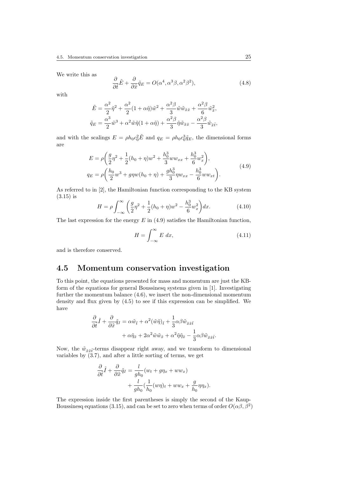We write this as

$$
\frac{\partial}{\partial \tilde{t}} \tilde{E} + \frac{\partial}{\partial \tilde{x}} \tilde{q}_E = O(\alpha^4, \alpha^3 \beta, \alpha^2 \beta^2), \tag{4.8}
$$

with

$$
\tilde{E} = \frac{\alpha^2}{2}\tilde{\eta}^2 + \frac{\alpha^2}{2}(1 + \alpha\tilde{\eta})\tilde{w}^2 + \frac{\alpha^2\beta}{3}\tilde{w}\tilde{w}_{\tilde{x}\tilde{x}} + \frac{\alpha^2\beta}{6}\tilde{w}_{\tilde{x}}^2,
$$
\n
$$
\tilde{q}_E = \frac{\alpha^3}{2}\tilde{w}^3 + \alpha^2\tilde{w}\tilde{\eta}(1 + \alpha\tilde{\eta}) + \frac{\alpha^2\beta}{3}\tilde{\eta}\tilde{w}_{\tilde{x}\tilde{x}} - \frac{\alpha^2\beta}{3}\tilde{w}_{\tilde{x}\tilde{t}},
$$

and with the scalings  $E = \rho h_0 c_0^2 \tilde{E}$  and  $q_E = \rho h_0 c_0^3 \tilde{q}_E$ , the dimensional forms are

$$
E = \rho \left( \frac{g}{2} \eta^2 + \frac{1}{2} (h_0 + \eta) w^2 + \frac{h_0^3}{3} w w_{xx} + \frac{h_0^3}{6} w_x^2 \right),
$$
  
\n
$$
q_E = \rho \left( \frac{h_0}{2} w^3 + g \eta w (h_0 + \eta) + \frac{g h_0^3}{3} \eta w_{xx} - \frac{h_0^3}{6} w w_{xt} \right).
$$
\n(4.9)

As referred to in [2], the Hamiltonian function corresponding to the KB system (3.15) is

$$
H = \rho \int_{-\infty}^{\infty} \left( \frac{g}{2} \eta^2 + \frac{1}{2} (h_0 + \eta) w^2 - \frac{h_0^3}{6} w_x^2 \right) dx.
$$
 (4.10)

The last expression for the energy  $E$  in (4.9) satisfies the Hamiltonian function,

$$
H = \int_{-\infty}^{\infty} E \, dx,\tag{4.11}
$$

and is therefore conserved.

### 4.5 Momentum conservation investigation

To this point, the equations presented for mass and momentum are just the KBform of the equations for general Boussinesq systems given in [1]. Investigating further the momentum balance (4.6), we insert the non-dimensional momentum density and flux given by (4.5) to see if this expression can be simplified. We have

$$
\frac{\partial}{\partial \tilde{t}} \tilde{I} + \frac{\partial}{\partial \tilde{x}} \tilde{q}_I = \alpha \tilde{w}_{\tilde{t}} + \alpha^2 (\tilde{w}\tilde{\eta})_{\tilde{t}} + \frac{1}{3} \alpha \beta \tilde{w}_{\tilde{x}\tilde{x}\tilde{t}} + \alpha \tilde{\eta}_{\tilde{x}} + 2\alpha^2 \tilde{w}\tilde{w}_{\tilde{x}} + \alpha^2 \tilde{\eta} \tilde{\eta}_{\tilde{x}} - \frac{1}{3} \alpha \beta \tilde{w}_{\tilde{x}\tilde{x}\tilde{t}}.
$$

Now, the  $\tilde{w}_{\tilde{x},\tilde{x}\tilde{t}}$ -terms disappear right away, and we transform to dimensional variables by (3.7), and after a little sorting of terms, we get

$$
\frac{\partial}{\partial \tilde{t}} \tilde{I} + \frac{\partial}{\partial \tilde{x}} \tilde{q}_I = \frac{l}{gh_0} (w_t + g\eta_x + ww_x) \n+ \frac{l}{gh_0} (\frac{1}{h_0} (w\eta)_t + ww_x + \frac{g}{h_0} \eta \eta_x).
$$

The expression inside the first parentheses is simply the second of the Kaup-Boussinesq equations (3.15), and can be set to zero when terms of order  $O(\alpha\beta, \beta^2)$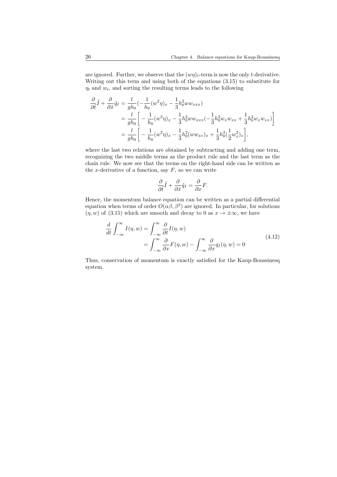are ignored. Further, we observe that the  $(w\eta)_t$ -term is now the only t-derivative. Writing out this term and using both of the equations (3.15) to substitute for  $\eta_t$  and  $w_t$ , and sorting the resulting terms leads to the following

$$
\frac{\partial}{\partial \tilde{t}} \tilde{I} + \frac{\partial}{\partial \tilde{x}} \tilde{q}_I = \frac{l}{gh_0} \left( -\frac{1}{h_0} (w^2 \eta)_x - \frac{1}{3} h_0^2 w w_{xxx} \right)
$$
  
\n
$$
= \frac{l}{gh_0} \left[ -\frac{1}{h_0} (w^2 \eta)_x - \frac{1}{3} h_0^2 w w_{xxx} \left( -\frac{1}{3} h_0^2 w_x w_{xx} + \frac{1}{3} h_0^2 w_x w_{xx} \right) \right]
$$
  
\n
$$
= \frac{l}{gh_0} \left[ -\frac{1}{h_0} (w^2 \eta)_x - \frac{1}{3} h_0^2 (w w_{xx})_x + \frac{1}{3} h_0^2 (\frac{1}{2} w_x^2)_x \right],
$$

where the last two relations are obtained by subtracting and adding one term, recognizing the two middle terms as the product rule and the last term as the chain rule. We now see that the terms on the right-hand side can be written as the x-derivative of a function, say  $F$ , so we can write

$$
\frac{\partial}{\partial \tilde{t}} \tilde{I} + \frac{\partial}{\partial \tilde{x}} \tilde{q}_I = \frac{\partial}{\partial x} F.
$$

Hence, the momentum balance equation can be written as a partial differential equation when terms of order  $O(\alpha\beta, \beta^2)$  are ignored. In particular, for solutions  $(\eta, w)$  of (3.15) which are smooth and decay to 0 as  $x \to \pm \infty$ , we have

$$
\frac{d}{dt} \int_{-\infty}^{\infty} I(\eta, w) = \int_{-\infty}^{\infty} \frac{\partial}{\partial t} I(\eta, w) \n= \int_{-\infty}^{\infty} \frac{\partial}{\partial x} F(\eta, w) - \int_{-\infty}^{\infty} \frac{\partial}{\partial x} q_I(\eta, w) = 0
$$
\n(4.12)

Thus, conservation of momentum is exactly satisfied for the Kaup-Boussinesq system.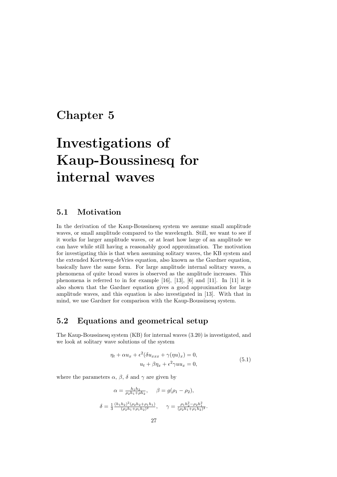# Chapter 5

# Investigations of Kaup-Boussinesq for internal waves

## 5.1 Motivation

In the derivation of the Kaup-Boussinesq system we assume small amplitude waves, or small amplitude compared to the wavelength. Still, we want to see if it works for larger amplitude waves, or at least how large of an amplitude we can have while still having a reasonably good approximation. The motivation for investigating this is that when assuming solitary waves, the KB system and the extended Korteweg-deVries equation, also known as the Gardner equation, basically have the same form. For large amplitude internal solitary waves, a phenomena of quite broad waves is observed as the amplitude increases. This phenomena is referred to in for example [16], [13], [6] and [11]. In [11] it is also shown that the Gardner equation gives a good approximation for large amplitude waves, and this equation is also investigated in [13]. With that in mind, we use Gardner for comparison with the Kaup-Boussinesq system.

## 5.2 Equations and geometrical setup

The Kaup-Boussinesq system (KB) for internal waves (3.20) is investigated, and we look at solitary wave solutions of the system

$$
\eta_t + \alpha u_x + \epsilon^2 (\delta u_{xxx} + \gamma(\eta u)_x) = 0,
$$
  
\n
$$
u_t + \beta \eta_x + \epsilon^2 \gamma u u_x = 0,
$$
\n(5.1)

where the parameters  $\alpha$ ,  $\beta$ ,  $\delta$  and  $\gamma$  are given by

$$
\alpha = \frac{h_1 h_2}{\rho_2 h_1 + \rho h_2}, \quad \beta = g(\rho_1 - \rho_2),
$$
  

$$
\delta = \frac{1}{3} \frac{(h_1 h_2)^2 (\rho_2 h_2 + \rho_1 h_1)}{(\rho_2 h_1 + \rho_1 h_2)^2}, \quad \gamma = \frac{\rho_1 h_2^2 - \rho_2 h_1^2}{(\rho_2 h_1 + \rho_1 h_2)^2}.
$$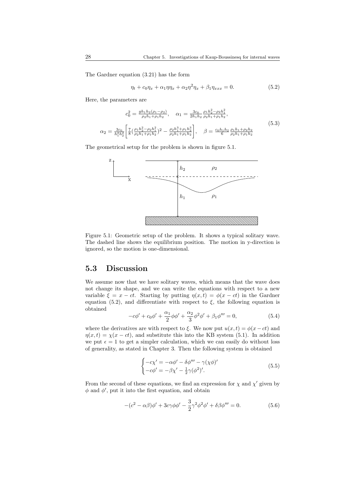The Gardner equation (3.21) has the form

$$
\eta_t + c_0 \eta_x + \alpha_1 \eta \eta_x + \alpha_2 \eta^2 \eta_x + \beta_1 \eta_{xxx} = 0. \tag{5.2}
$$

Here, the parameters are

$$
c_0^2 = \frac{gh_1 h_2 (\rho_1 - \rho_2)}{\rho_2 h_1 + \rho_1 h_2}, \quad \alpha_1 = \frac{3c_0}{2h_1 h_2} \frac{\rho_1 h_2^2 - \rho_2 h_1^2}{\rho_2 h_1 + \rho_1 h_2},
$$
  
\n
$$
\alpha_2 = \frac{3c_0}{h_1^2 h_2^2} \left[ \frac{7}{8} \left( \frac{\rho_1 h_2^2 - \rho_2 h_1^2}{\rho_2 h_1 + \rho_1 h_2} \right)^2 - \frac{\rho_2 h_1^3 + \rho_1 h_2^3}{\rho_2 h_1 + \rho_1 h_2} \right], \quad \beta = \frac{c_0 h_1 h_2}{6} \frac{\rho_1 h_1 + \rho_2 h_2}{\rho_2 h_1 + \rho_1 h_2}
$$
\n(5.3)

The geometrical setup for the problem is shown in figure 5.1.



Figure 5.1: Geometric setup of the problem. It shows a typical solitary wave. The dashed line shows the equilibrium position. The motion in y-direction is ignored, so the motion is one-dimensional.

### 5.3 Discussion

We assume now that we have solitary waves, which means that the wave does not change its shape, and we can write the equations with respect to a new variable  $\xi = x - ct$ . Starting by putting  $\eta(x, t) = \phi(x - ct)$  in the Gardner equation (5.2), and differentiate with respect to  $\xi$ , the following equation is obtained

$$
-c\phi' + c_0\phi' + \frac{\alpha_1}{2}\phi\phi' + \frac{\alpha_2}{3}\phi^2\phi' + \beta_1\phi''' = 0,
$$
\n(5.4)

where the derivatives are with respect to  $\xi$ . We now put  $u(x, t) = \phi(x - ct)$  and  $\eta(x,t) = \chi(x-ct)$ , and substitute this into the KB system (5.1). In addition we put  $\epsilon = 1$  to get a simpler calculation, which we can easily do without loss of generality, as stated in Chapter 3. Then the following system is obtained

$$
\begin{cases}\n-c\chi' = -\alpha \phi' - \delta \phi''' - \gamma(\chi \phi)'\n-c\phi' = -\beta \chi' - \frac{1}{2} \gamma (\phi^2)'.\n\end{cases}
$$
\n(5.5)

From the second of these equations, we find an expression for  $\chi$  and  $\chi'$  given by  $\phi$  and  $\phi'$ , put it into the first equation, and obtain

$$
-(c^2 - \alpha\beta)\phi' + 3c\gamma\phi\phi' - \frac{3}{2}\gamma^2\phi^2\phi' + \delta\beta\phi''' = 0.
$$
 (5.6)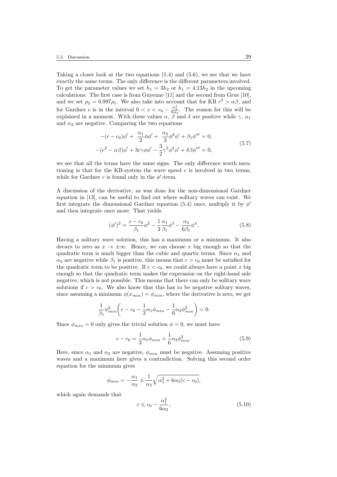Taking a closer look at the two equations (5.4) and (5.6), we see that we have exactly the same terms. The only difference is the different parameters involved. To get the parameter values we set  $h_1 = 3h_2$  or  $h_1 = 4.13h_2$  in the upcoming calculations. The first case is from Guyenne [11] and the second from Grue [10], and we set  $\rho_2 = 0.997 \rho_1$ . We also take into account that for KB  $c^2 > \alpha \beta$ , and for Gardner c is in the interval  $0 < c < c_0 - \frac{\alpha_1^2}{6\alpha_2}$ . The reason for this will be explained in a moment. With these values  $\alpha$ ,  $\beta$  and  $\delta$  are positive while  $\gamma$ ,  $\alpha_1$ and  $\alpha_2$  are negative. Comparing the two equations

$$
-(c-c_0)\phi' + \frac{\alpha_1}{2}\phi\phi' + \frac{\alpha_2}{3}\phi^2\phi' + \beta_1\phi''' = 0,-(c^2 - \alpha\beta)\phi' + 3c\gamma\phi\phi' - \frac{3}{2}\gamma^2\phi^2\phi' + \delta\beta\phi''' = 0,
$$
(5.7)

we see that all the terms have the same signs. The only difference worth mentioning is that for the KB-system the wave speed  $c$  is involved in two terms, while for Gardner  $c$  is found only in the  $\phi'$ -term.

A discussion of the derivative, as was done for the non-dimensional Gardner equation in [13], can be useful to find out where solitary waves can exist. We first integrate the dimensional Gardner equation (5.4) once, multiply it by  $\phi'$ and then integrate once more. That yields

$$
(\phi')^2 = \frac{c - c_0}{\beta_1} \phi^2 - \frac{1}{3} \frac{\alpha_1}{\beta_1} \phi^3 - \frac{\alpha_2}{6\beta_1} \phi^4,\tag{5.8}
$$

Having a solitary wave solution, this has a maximum or a minimum. It also decays to zero as  $x \to \pm \infty$ . Hence, we can choose x big enough so that the quadratic term is much bigger than the cubic and quartic terms. Since  $\alpha_1$  and  $\alpha_2$  are negative while  $\beta_1$  is positive, this means that  $c > c_0$  must be satisfied for the quadratic term to be positive. If  $c < c_0$ , we could always have a point x big enough so that the quadratic term makes the expression on the right-hand side negative, which is not possible. This means that there can only be solitary wave solutions if  $c > c_0$ . We also know that this has to be negative solitary waves, since assuming a minimum  $\phi(x_{min}) = \phi_{min}$ , where the derivative is zero, we get

$$
\frac{1}{\beta_1} \phi_{min}^2 \bigg( c - c_0 - \frac{1}{3} \alpha_1 \phi_{min} - \frac{1}{6} \alpha_2 \phi_{min}^2 \bigg) = 0.
$$

Since  $\phi_{min} = 0$  only gives the trivial solution  $\phi = 0$ , we must have

$$
c - c_0 = \frac{1}{3}\alpha_1 \phi_{min} + \frac{1}{6}\alpha_2 \phi_{min}^2.
$$
 (5.9)

Here, since  $\alpha_1$  and  $\alpha_2$  are negative,  $\phi_{min}$  must be negative. Assuming positive waves and a maximum here gives a contradiction. Solving this second order equation for the minimum gives

$$
\phi_{min} = -\frac{\alpha_1}{\alpha_2} \pm \frac{1}{\alpha_2} \sqrt{\alpha_1^2 + 6\alpha_2(c - c_0)},
$$

which again demands that

$$
c \leqslant c_0 - \frac{\alpha_1^2}{6\alpha_2},\tag{5.10}
$$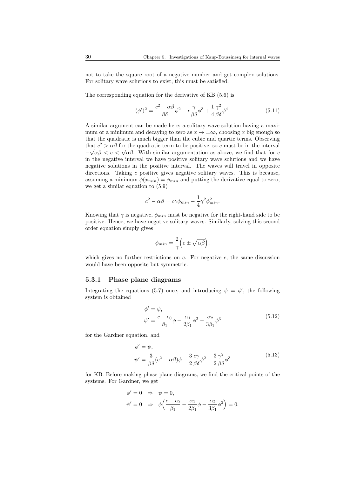not to take the square root of a negative number and get complex solutions. For solitary wave solutions to exist, this must be satisfied.

The corresponding equation for the derivative of KB (5.6) is

$$
(\phi')^2 = \frac{c^2 - \alpha\beta}{\beta\delta}\phi^2 - c\frac{\gamma}{\beta\delta}\phi^3 + \frac{1}{4}\frac{\gamma^2}{\beta\delta}\phi^4.
$$
 (5.11)

A similar argument can be made here; a solitary wave solution having a maximum or a minimum and decaying to zero as  $x \to \pm \infty$ , choosing x big enough so that the quadratic is much bigger than the cubic and quartic terms. Observing that  $c^2 > \alpha \beta$  for the quadratic term to be positive, so c must be in the interval  $-\sqrt{\alpha\beta} < c < \sqrt{\alpha\beta}$ . With similar argumentation as above, we find that for *c* in the negative interval we have positive solitary wave solutions and we have negative solutions in the positive interval. The waves will travel in opposite directions. Taking  $c$  positive gives negative solitary waves. This is because, assuming a minimum  $\phi(x_{min}) = \phi_{min}$  and putting the derivative equal to zero, we get a similar equation to (5.9)

$$
c^2 - \alpha \beta = c\gamma \phi_{min} - \frac{1}{4} \gamma^2 \phi_{min}^2.
$$

Knowing that  $\gamma$  is negative,  $\phi_{min}$  must be negative for the right-hand side to be positive. Hence, we have negative solitary waves. Similarly, solving this second order equation simply gives

$$
\phi_{min} = \frac{2}{\gamma} \Big( c \pm \sqrt{\alpha \beta} \Big),
$$

which gives no further restrictions on  $c$ . For negative  $c$ , the same discussion would have been opposite but symmetric.

#### 5.3.1 Phase plane diagrams

Integrating the equations (5.7) once, and introducing  $\psi = \phi'$ , the following system is obtained

$$
\begin{aligned}\n\phi' &= \psi, \\
\psi' &= \frac{c - c_0}{\beta_1} \phi - \frac{\alpha_1}{2\beta_1} \phi^2 - \frac{\alpha_2}{3\beta_1} \phi^3\n\end{aligned} \tag{5.12}
$$

for the Gardner equation, and

$$
\phi' = \psi,
$$
  

$$
\psi' = \frac{3}{\beta \delta} (c^2 - \alpha \beta) \phi - \frac{3}{2} \frac{c\gamma}{\beta \delta} \phi^2 - \frac{3}{2} \frac{\gamma^2}{\beta \delta} \phi^3
$$
(5.13)

for KB. Before making phase plane diagrams, we find the critical points of the systems. For Gardner, we get

$$
\begin{array}{lcl} \phi'=0 & \Rightarrow & \psi=0,\\ \psi'=0 & \Rightarrow & \phi\Big(\frac{c-c_0}{\beta_1}-\frac{\alpha_1}{2\beta_1}\phi-\frac{\alpha_2}{3\beta_1}\phi^2\Big)=0. \end{array}
$$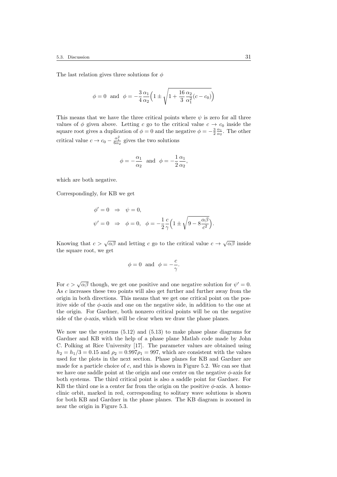The last relation gives three solutions for  $\phi$ 

$$
\phi = 0
$$
 and  $\phi = -\frac{3}{4} \frac{\alpha_1}{\alpha_2} \left( 1 \pm \sqrt{1 + \frac{16}{3} \frac{\alpha_2}{\alpha_1^2} (c - c_0)} \right)$ 

This means that we have the three critical points where  $\psi$  is zero for all three values of  $\phi$  given above. Letting c go to the critical value  $c \to c_0$  inside the square root gives a duplication of  $\phi = 0$  and the negative  $\phi = -\frac{3}{2} \frac{\alpha_1}{\alpha_2}$ . The other critical value  $c \to c_0 - \frac{\alpha_1^2}{6\alpha_2}$  gives the two solutions

$$
\phi = -\frac{\alpha_1}{\alpha_2}
$$
 and  $\phi = -\frac{1}{2} \frac{\alpha_1}{\alpha_2}$ ,

which are both negative.

Correspondingly, for KB we get

$$
\begin{aligned}\n\phi' &= 0 \quad \Rightarrow \quad \psi = 0, \\
\psi' &= 0 \quad \Rightarrow \quad \phi = 0, \quad \phi = -\frac{1}{2} \frac{c}{\gamma} \left( 1 \pm \sqrt{9 - 8 \frac{\alpha \beta}{c^2}} \right).\n\end{aligned}
$$

Knowing that  $c > \sqrt{\alpha \beta}$  and letting c go to the critical value  $c \to \sqrt{\alpha \beta}$  inside the square root, we get

$$
\phi = 0
$$
 and  $\phi = -\frac{c}{\gamma}$ .

For  $c > \sqrt{\alpha \beta}$  though, we get one positive and one negative solution for  $\psi' = 0$ . As c increases these two points will also get further and further away from the origin in both directions. This means that we get one critical point on the positive side of the  $\phi$ -axis and one on the negative side, in addition to the one at the origin. For Gardner, both nonzero critical points will be on the negative side of the  $\phi$ -axis, which will be clear when we draw the phase planes.

We now use the systems (5.12) and (5.13) to make phase plane diagrams for Gardner and KB with the help of a phase plane Matlab code made by John C. Polking at Rice University [17]. The parameter values are obtained using  $h_2 = h_1/3 = 0.15$  and  $\rho_2 = 0.997\rho_1 = 997$ , which are consistent with the values used for the plots in the next section. Phase planes for KB and Gardner are made for a particle choice of c, and this is shown in Figure 5.2. We can see that we have one saddle point at the origin and one center on the negative  $\phi$ -axis for both systems. The third critical point is also a saddle point for Gardner. For KB the third one is a center far from the origin on the positive  $\phi$ -axis. A homoclinic orbit, marked in red, corresponding to solitary wave solutions is shown for both KB and Gardner in the phase planes. The KB diagram is zoomed in near the origin in Figure 5.3.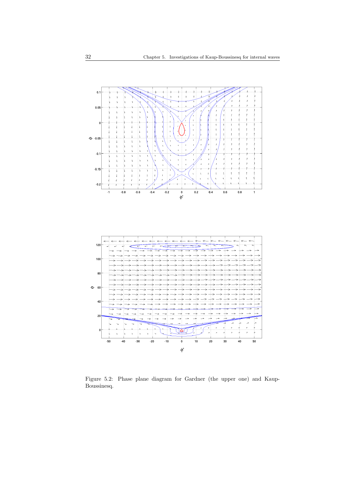

Figure 5.2: Phase plane diagram for Gardner (the upper one) and Kaup-Boussinesq.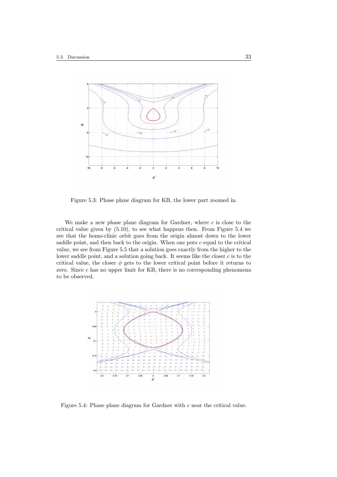

Figure 5.3: Phase plane diagram for KB, the lower part zoomed in.

We make a new phase plane diagram for Gardner, where  $c$  is close to the critical value given by (5.10), to see what happens then. From Figure 5.4 we see that the homo-clinic orbit goes from the origin almost down to the lower saddle point, and then back to the origin. When one puts  $c$  equal to the critical value, we see from Figure 5.5 that a solution goes exactly from the higher to the lower saddle point, and a solution going back. It seems like the closer  $c$  is to the critical value, the closer  $\phi$  gets to the lower critical point before it returns to zero. Since  $c$  has no upper limit for KB, there is no corresponding phenomena to be observed.



Figure 5.4: Phase plane diagram for Gardner with c near the critical value.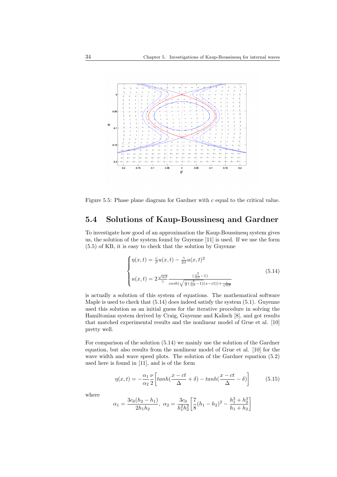

Figure 5.5: Phase plane diagram for Gardner with c equal to the critical value.

# 5.4 Solutions of Kaup-Boussinesq and Gardner

To investigate how good of an approximation the Kaup-Boussinesq system gives us, the solution of the system found by Guyenne [11] is used. If we use the form (5.5) of KB, it is easy to check that the solution by Guyenne

$$
\begin{cases}\n\eta(x,t) = \frac{c}{\beta}u(x,t) - \frac{\gamma}{2\beta}u(x,t)^2 \\
u(x,t) = 2\frac{\sqrt{\alpha\beta}}{\gamma}\frac{(\frac{c^2}{\alpha\beta} - 1)}{\cosh(\sqrt{\frac{\alpha}{\beta}}(\frac{c^2}{\alpha\beta} - 1)(x - ct)) + \frac{c}{\sqrt{\alpha\beta}}}\n\end{cases}
$$
\n(5.14)

is actually a solution of this system of equations. The mathematical software Maple is used to check that (5.14) does indeed satisfy the system (5.1). Guyenne used this solution as an initial guess for the iterative procedure in solving the Hamiltonian system derived by Craig, Guyenne and Kalisch [8], and got results that matched experimental results and the nonlinear model of Grue et al. [10] pretty well.

For comparison of the solution (5.14) we mainly use the solution of the Gardner equation, but also results from the nonlinear model of Grue et al. [10] for the wave width and wave speed plots. The solution of the Gardner equation  $(5.2)$ used here is found in [11], and is of the form

$$
\eta(x,t) = -\frac{\alpha_1}{\alpha_2} \frac{\nu}{2} \left[ \tanh(\frac{x-ct}{\Delta} + \delta) - \tanh(\frac{x-ct}{\Delta} - \delta) \right] \tag{5.15}
$$

where

$$
\alpha_1 = \frac{3c_0(h_2 - h_1)}{2h_1h_2}, \ \alpha_2 = \frac{3c_0}{h_1^2h_2^2} \left[ \frac{7}{8}(h_1 - h_2)^2 - \frac{h_1^3 + h_2^3}{h_1 + h_2} \right]
$$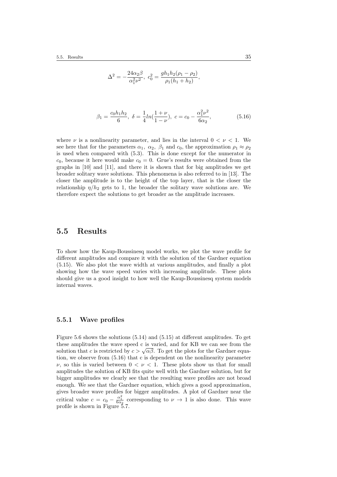$$
\Delta^{2} = -\frac{24\alpha_{2}\beta}{\alpha_{1}^{2}\nu^{2}}, \ c_{0}^{2} = \frac{gh_{1}h_{2}(\rho_{1} - \rho_{2})}{\rho_{1}(h_{1} + h_{2})},
$$

$$
\beta_1 = \frac{c_0 h_1 h_2}{6}, \ \delta = \frac{1}{4} ln(\frac{1+\nu}{1-\nu}), \ c = c_0 - \frac{\alpha_1^2 \nu^2}{6\alpha_2}, \tag{5.16}
$$

where  $\nu$  is a nonlinearity parameter, and lies in the interval  $0 < \nu < 1$ . We see here that for the parameters  $\alpha_1$ ,  $\alpha_2$ ,  $\beta_1$  and  $c_0$ , the approximation  $\rho_1 \approx \rho_2$ is used when compared with (5.3). This is done except for the numerator in  $c_0$ , because it here would make  $c_0 = 0$ . Grue's results were obtained from the graphs in [10] and [11], and there it is shown that for big amplitudes we get broader solitary wave solutions. This phenomena is also referred to in [13]. The closer the amplitude is to the height of the top layer, that is the closer the relationship  $\eta/h_2$  gets to 1, the broader the solitary wave solutions are. We therefore expect the solutions to get broader as the amplitude increases.

### 5.5 Results

To show how the Kaup-Boussinesq model works, we plot the wave profile for different amplitudes and compare it with the solution of the Gardner equation (5.15). We also plot the wave width at various amplitudes, and finally a plot showing how the wave speed varies with increasing amplitude. These plots should give us a good insight to how well the Kaup-Boussinesq system models internal waves.

#### 5.5.1 Wave profiles

Figure 5.6 shows the solutions (5.14) and (5.15) at different amplitudes. To get these amplitudes the wave speed c is varied, and for KB we can see from the solution that c is restricted by  $c > \sqrt{\alpha \beta}$ . To get the plots for the Gardner equasion that c is restricted by  $c > \sqrt{\alpha \beta}$ . To get the plots for the Gardner equation, we observe from (5.16) that c is dependent on the nonlinearity parameter  $\nu$ , so this is varied between  $0 < \nu < 1$ . These plots show us that for small amplitudes the solution of KB fits quite well with the Gardner solution, but for bigger amplitudes we clearly see that the resulting wave profiles are not broad enough. We see that the Gardner equation, which gives a good approximation, gives broader wave profiles for bigger amplitudes. A plot of Gardner near the critical value  $c = c_0 - \frac{\alpha_1^2}{6\alpha_2}$  corresponding to  $\nu \to 1$  is also done. This wave profile is shown in Figure 5.7.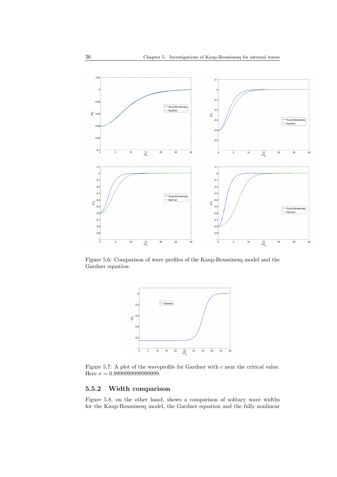

Figure 5.6: Comparison of wave profiles of the Kaup-Boussinesq model and the Gardner equation.



Figure 5.7: A plot of the waveprofile for Gardner with c near the critical value. Here ν = 0.9999999999999999.

### 5.5.2 Width comparison

Figure 5.8, on the other hand, shows a comparison of solitary wave widths for the Kaup-Boussinesq model, the Gardner equation and the fully nonlinear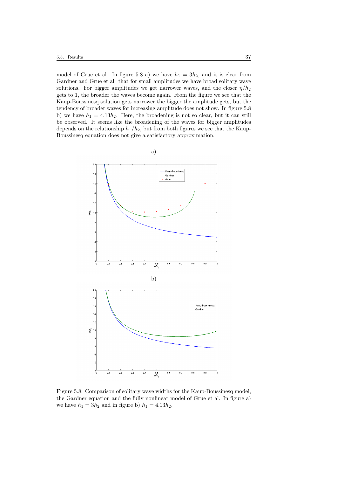model of Grue et al. In figure 5.8 a) we have  $h_1 = 3h_2$ , and it is clear from Gardner and Grue et al. that for small amplitudes we have broad solitary wave solutions. For bigger amplitudes we get narrower waves, and the closer  $\eta/h_2$ gets to 1, the broader the waves become again. From the figure we see that the Kaup-Boussinesq solution gets narrower the bigger the amplitude gets, but the tendency of broader waves for increasing amplitude does not show. In figure 5.8 b) we have  $h_1 = 4.13h_2$ . Here, the broadening is not so clear, but it can still be observed. It seems like the broadening of the waves for bigger amplitudes depends on the relationship  $h_1/h_2$ , but from both figures we see that the Kaup-Boussinesq equation does not give a satisfactory approximation.



Figure 5.8: Comparison of solitary wave widths for the Kaup-Boussinesq model, the Gardner equation and the fully nonlinear model of Grue et al. In figure a) we have  $h_1 = 3h_2$  and in figure b)  $h_1 = 4.13h_2$ .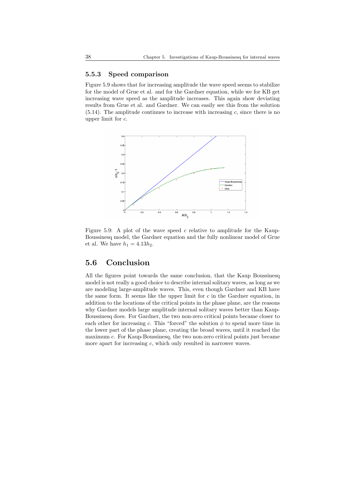#### 5.5.3 Speed comparison

Figure 5.9 shows that for increasing amplitude the wave speed seems to stabilize for the model of Grue et al. and for the Gardner equation, while we for KB get increasing wave speed as the amplitude increases. This again show deviating results from Grue et al. and Gardner. We can easily see this from the solution  $(5.14)$ . The amplitude continues to increase with increasing c, since there is no upper limit for c.



Figure 5.9: A plot of the wave speed c relative to amplitude for the Kaup-Boussinesq model, the Gardner equation and the fully nonlinear model of Grue et al. We have  $h_1 = 4.13h_2$ .

# 5.6 Conclusion

All the figures point towards the same conclusion, that the Kaup Boussinesq model is not really a good choice to describe internal solitary waves, as long as we are modeling large-amplitude waves. This, even though Gardner and KB have the same form. It seems like the upper limit for  $c$  in the Gardner equation, in addition to the locations of the critical points in the phase plane, are the reasons why Gardner models large amplitude internal solitary waves better than Kaup-Boussinesq does. For Gardner, the two non-zero critical points became closer to each other for increasing c. This "forced" the solution  $\phi$  to spend more time in the lower part of the phase plane, creating the broad waves, until it reached the maximum c. For Kaup-Boussinesq, the two non-zero critical points just became more apart for increasing  $c$ , which only resulted in narrower waves.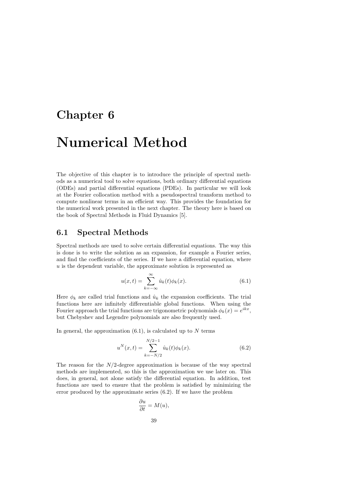# Chapter 6

# Numerical Method

The objective of this chapter is to introduce the principle of spectral methods as a numerical tool to solve equations, both ordinary differential equations (ODEs) and partial differential equations (PDEs). In particular we will look at the Fourier collocation method with a pseudospectral transform method to compute nonlinear terms in an efficient way. This provides the foundation for the numerical work presented in the next chapter. The theory here is based on the book of Spectral Methods in Fluid Dynamics [5].

# 6.1 Spectral Methods

Spectral methods are used to solve certain differential equations. The way this is done is to write the solution as an expansion, for example a Fourier series, and find the coefficients of the series. If we have a differential equation, where  $u$  is the dependent variable, the approximate solution is represented as

$$
u(x,t) = \sum_{k=-\infty}^{\infty} \hat{u}_k(t)\phi_k(x).
$$
 (6.1)

Here  $\phi_k$  are called trial functions and  $\hat{u}_k$  the expansion coefficients. The trial functions here are infinitely differentiable global functions. When using the Fourier approach the trial functions are trigonometric polynomials  $\phi_k(x) = e^{ikx}$ , but Chebyshev and Legendre polynomials are also frequently used.

In general, the approximation  $(6.1)$ , is calculated up to N terms

$$
u^{N}(x,t) = \sum_{k=-N/2}^{N/2-1} \hat{u}_{k}(t)\phi_{k}(x).
$$
 (6.2)

The reason for the  $N/2$ -degree approximation is because of the way spectral methods are implemented, so this is the approximation we use later on. This does, in general, not alone satisfy the differential equation. In addition, test functions are used to ensure that the problem is satisfied by minimizing the error produced by the approximate series (6.2). If we have the problem

$$
\frac{\partial u}{\partial t} = M(u),
$$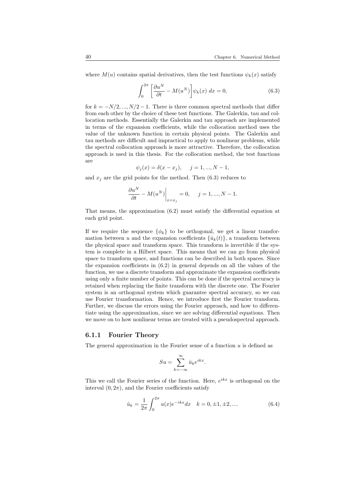where  $M(u)$  contains spatial derivatives, then the test functions  $\psi_k(x)$  satisfy

$$
\int_0^{2\pi} \left[ \frac{\partial u^N}{\partial t} - M(u^N) \right] \psi_k(x) dx = 0,
$$
\n(6.3)

for  $k = -N/2, ..., N/2 - 1$ . There is three common spectral methods that differ from each other by the choice of these test functions. The Galerkin, tau and collocation methods. Essentially the Galerkin and tau approach are implemented in terms of the expansion coefficients, while the collocation method uses the value of the unknown function in certain physical points. The Galerkin and tau methods are difficult and impractical to apply to nonlinear problems, while the spectral collocation approach is more attractive. Therefore, the collocation approach is used in this thesis. For the collocation method, the test functions are

$$
\psi_j(x) = \delta(x - x_j), \quad j = 1, ..., N - 1,
$$

and  $x_j$  are the grid points for the method. Then (6.3) reduces to

$$
\left. \frac{\partial u^N}{\partial t} - M(u^N) \right|_{x=x_j} = 0, \quad j = 1, ..., N - 1.
$$

That means, the approximation (6.2) must satisfy the differential equation at each grid point.

If we require the sequence  $\{\phi_k\}$  to be orthogonal, we get a linear transformation between u and the expansion coefficients  $\{\hat{u}_k(t)\}\$ , a transform between the physical space and transform space. This transform is invertible if the system is complete in a Hilbert space. This means that we can go from physical space to transform space, and functions can be described in both spaces. Since the expansion coefficients in  $(6.2)$  in general depends on all the values of the function, we use a discrete transform and approximate the expansion coefficients using only a finite number of points. This can be done if the spectral accuracy is retained when replacing the finite transform with the discrete one. The Fourier system is an orthogonal system which guarantee spectral accuracy, so we can use Fourier transformation. Hence, we introduce first the Fourier transform. Further, we discuss the errors using the Fourier approach, and how to differentiate using the approximation, since we are solving differential equations. Then we move on to how nonlinear terms are treated with a pseudospectral approach.

#### 6.1.1 Fourier Theory

The general approximation in the Fourier sense of a function  $u$  is defined as

$$
Su = \sum_{k=-\infty}^{\infty} \hat{u}_k e^{ikx}.
$$

This we call the Fourier series of the function. Here,  $e^{ikx}$  is orthogonal on the interval  $(0, 2\pi)$ , and the Fourier coefficients satisfy

$$
\hat{u}_k = \frac{1}{2\pi} \int_0^{2\pi} u(x)e^{-ikx}dx \quad k = 0, \pm 1, \pm 2, \dots
$$
\n(6.4)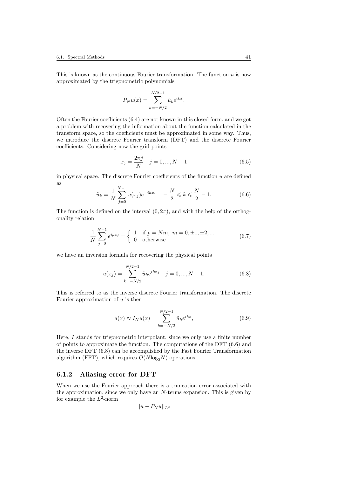This is known as the continuous Fourier transformation. The function  $u$  is now approximated by the trigonometric polynomials

$$
P_N u(x) = \sum_{k=-N/2}^{N/2-1} \hat{u}_k e^{ikx}.
$$

Often the Fourier coefficients (6.4) are not known in this closed form, and we got a problem with recovering the information about the function calculated in the transform space, so the coefficients must be approximated in some way. Thus, we introduce the discrete Fourier transform (DFT) and the discrete Fourier coefficients. Considering now the grid points

$$
x_j = \frac{2\pi j}{N} \quad j = 0, ..., N - 1 \tag{6.5}
$$

in physical space. The discrete Fourier coefficients of the function  $u$  are defined as  $\ddot{x}$ 

$$
\tilde{u}_k = \frac{1}{N} \sum_{j=0}^{N-1} u(x_j) e^{-ikx_j} \quad -\frac{N}{2} \leq k \leq \frac{N}{2} - 1. \tag{6.6}
$$

The function is defined on the interval  $(0, 2\pi)$ , and with the help of the orthogonality relation

$$
\frac{1}{N} \sum_{j=0}^{N-1} e^{ipx_j} = \begin{cases} 1 & \text{if } p = Nm, \ m = 0, \pm 1, \pm 2, \dots \\ 0 & \text{otherwise} \end{cases}
$$
(6.7)

we have an inversion formula for recovering the physical points

$$
u(x_j) = \sum_{k=-N/2}^{N/2-1} \tilde{u}_k e^{ikx_j} \quad j = 0, ..., N-1.
$$
 (6.8)

This is referred to as the inverse discrete Fourier transformation. The discrete Fourier approximation of  $u$  is then

$$
u(x) \approx I_N u(x) = \sum_{k=-N/2}^{N/2-1} \tilde{u}_k e^{ikx},
$$
 (6.9)

Here, I stands for trigonometric interpolant, since we only use a finite number of points to approximate the function. The computations of the DFT (6.6) and the inverse DFT (6.8) can be accomplished by the Fast Fourier Transformation algorithm (FFT), which requires  $O(N \log_2 N)$  operations.

#### 6.1.2 Aliasing error for DFT

When we use the Fourier approach there is a truncation error associated with the approximation, since we only have an N-terms expansion. This is given by for example the  $L^2$ -norm

$$
||u - P_N u||_{L^2}
$$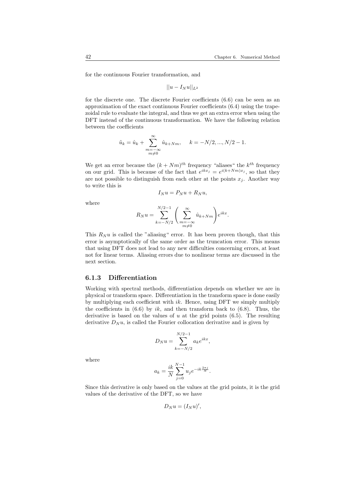for the continuous Fourier transformation, and

$$
||u - I_N u||_{L^2}
$$

for the discrete one. The discrete Fourier coefficients (6.6) can be seen as an approximation of the exact continuous Fourier coefficients (6.4) using the trapezoidal rule to evaluate the integral, and thus we get an extra error when using the DFT instead of the continuous transformation. We have the following relation between the coefficients

$$
\tilde{u}_k = \hat{u}_k + \sum_{\substack{m=-\infty \\ m \neq 0}}^{\infty} \hat{u}_{k+Nm}, \quad k = -N/2, ..., N/2 - 1.
$$

We get an error because the  $(k + Nm)^{th}$  frequency "aliases" the  $k^{th}$  frequency on our grid. This is because of the fact that  $e^{ikx_j} = e^{i(k+Nm)x_j}$ , so that they are not possible to distinguish from each other at the points  $x_i$ . Another way to write this is

$$
I_N u = P_N u + R_N u,
$$

where

$$
R_N u = \sum_{k=-N/2}^{N/2-1} \left( \sum_{\substack{m=-\infty\\ m\neq 0}}^{\infty} \hat{u}_{k+Nm} \right) e^{ikx}.
$$

This  $R_N u$  is called the "aliasing" error. It has been proven though, that this error is asymptotically of the same order as the truncation error. This means that using DFT does not lead to any new difficulties concerning errors, at least not for linear terms. Aliasing errors due to nonlinear terms are discussed in the next section.

#### 6.1.3 Differentiation

Working with spectral methods, differentiation depends on whether we are in physical or transform space. Differentiation in the transform space is done easily by multiplying each coefficient with  $ik$ . Hence, using DFT we simply multiply the coefficients in  $(6.6)$  by ik, and then transform back to  $(6.8)$ . Thus, the derivative is based on the values of  $u$  at the grid points  $(6.5)$ . The resulting derivative  $D_N u$ , is called the Fourier collocation derivative and is given by

$$
D_N u = \sum_{k=-N/2}^{N/2-1} a_k e^{ikx},
$$

where

$$
a_k = \frac{ik}{N} \sum_{j=0}^{N-1} u_j e^{-ik\frac{2\pi j}{N}}.
$$

Since this derivative is only based on the values at the grid points, it is the grid values of the derivative of the DFT, so we have

$$
D_N u = (I_N u)',
$$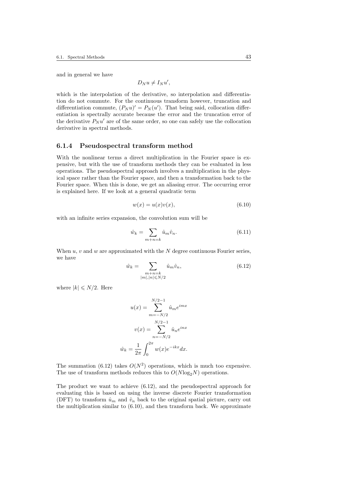and in general we have

$$
D_N u \neq I_N u',
$$

which is the interpolation of the derivative, so interpolation and differentiation do not commute. For the continuous transform however, truncation and differentiation commute,  $(P_N u)' = P_N(u')$ . That being said, collocation differentiation is spectrally accurate because the error and the truncation error of the derivative  $P_N u'$  are of the same order, so one can safely use the collocation derivative in spectral methods.

#### 6.1.4 Pseudospectral transform method

With the nonlinear terms a direct multiplication in the Fourier space is expensive, but with the use of transform methods they can be evaluated in less operations. The pseudospectral approach involves a multiplication in the physical space rather than the Fourier space, and then a transformation back to the Fourier space. When this is done, we get an aliasing error. The occurring error is explained here. If we look at a general quadratic term

$$
w(x) = u(x)v(x),\tag{6.10}
$$

with an infinite series expansion, the convolution sum will be

$$
\hat{w}_k = \sum_{m+n=k} \hat{u}_m \hat{v}_n. \tag{6.11}
$$

When  $u, v$  and  $w$  are approximated with the  $N$  degree continuous Fourier series, we have

$$
\hat{w}_k = \sum_{\substack{m+n=k\\|m|,|n| \le N/2}} \hat{u}_m \hat{v}_n,\tag{6.12}
$$

where  $|k| \leq N/2$ . Here

$$
u(x) = \sum_{m=-N/2}^{N/2-1} \hat{u}_m e^{imx}
$$

$$
v(x) = \sum_{n=-N/2}^{N/2-1} \hat{u}_n e^{inx}
$$

$$
\hat{w}_k = \frac{1}{2\pi} \int_0^{2\pi} w(x) e^{-ikx} dx.
$$

The summation (6.12) takes  $O(N^2)$  operations, which is much too expensive. The use of transform methods reduces this to  $O(N \log_2 N)$  operations.

The product we want to achieve (6.12), and the pseudospectral approach for evaluating this is based on using the inverse discrete Fourier transformation (DFT) to transform  $\hat{u}_m$  and  $\hat{v}_n$  back to the original spatial picture, carry out the multiplication similar to (6.10), and then transform back. We approximate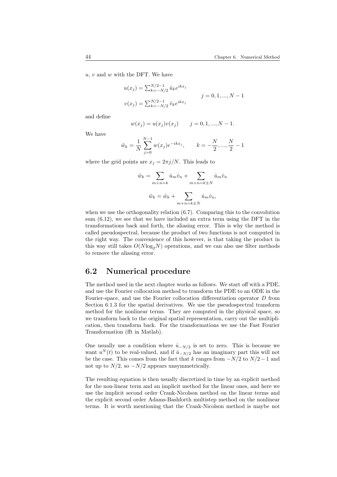$u, v$  and  $w$  with the DFT. We have

$$
u(x_j) = \sum_{k=-N/2}^{N/2-1} \tilde{u}_k e^{ikx_j}
$$
  

$$
j = 0, 1, ..., N - 1
$$
  

$$
v(x_j) = \sum_{k=-N/2}^{N/2-1} \tilde{v}_k e^{ikx_j}
$$

and define

$$
w(x_j) = u(x_j)v(x_j)
$$
  $j = 0, 1, ..., N - 1.$ 

We have

$$
\tilde{w}_k = \frac{1}{N} \sum_{j=0}^{N-1} w(x_j) e^{-ikx_j}, \qquad k = -\frac{N}{2}, ..., \frac{N}{2} - 1
$$

where the grid points are  $x_j = 2\pi j/N$ . This leads to

$$
\tilde{w}_k = \sum_{m+n=k} \hat{u}_m \hat{v}_n + \sum_{m+n=k\pm N} \hat{u}_m \hat{v}_n
$$

$$
\tilde{w}_k = \hat{w}_k + \sum_{m+n=k\pm N} \hat{u}_m \hat{v}_n,
$$

when we use the orthogonality relation (6.7). Comparing this to the convolution sum (6.12), we see that we have included an extra term using the DFT in the transformations back and forth, the aliasing error. This is why the method is called pseudospectral, because the product of two functions is not computed in the right way. The convenience of this however, is that taking the product in this way still takes  $O(N \log_2 N)$  operations, and we can also use filter methods to remove the aliasing error.

## 6.2 Numerical procedure

The method used in the next chapter works as follows. We start off with a PDE, and use the Fourier collocation method to transform the PDE to an ODE in the Fourier-space, and use the Fourier collocation differentiation operator D from Section 6.1.3 for the spatial derivatives. We use the pseudospectral transform method for the nonlinear terms. They are computed in the physical space, so we transform back to the original spatial representation, carry out the multiplication, then transform back. For the transformations we use the Fast Fourier Transformation (fft in Matlab).

One usually use a condition where  $\hat{u}_{-N/2}$  is set to zero. This is because we want  $u^N(t)$  to be real-valued, and if  $\hat{u}_{-N/2}$  has an imaginary part this will not be the case. This comes from the fact that k ranges from  $-N/2$  to  $N/2-1$  and not up to  $N/2$ , so  $-N/2$  appears unsymmetrically.

The resulting equation is then usually discretized in time by an explicit method for the non-linear term and an implicit method for the linear ones, and here we use the implicit second order Crank-Nicolson method on the linear terms and the explicit second order Adams-Bashforth multistep method on the nonlinear terms. It is worth mentioning that the Crank-Nicolson method is maybe not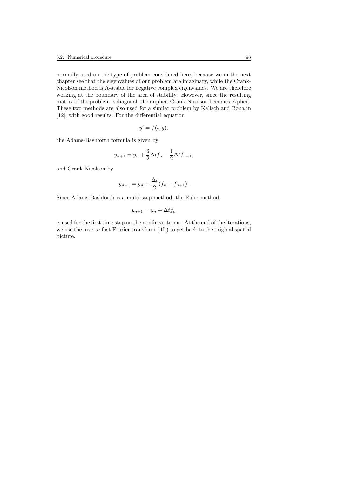normally used on the type of problem considered here, because we in the next chapter see that the eigenvalues of our problem are imaginary, while the Crank-Nicolson method is A-stable for negative complex eigenvalues. We are therefore working at the boundary of the area of stability. However, since the resulting matrix of the problem is diagonal, the implicit Crank-Nicolson becomes explicit. These two methods are also used for a similar problem by Kalisch and Bona in [12], with good results. For the differential equation

$$
y' = f(t, y),
$$

the Adams-Bashforth formula is given by

$$
y_{n+1} = y_n + \frac{3}{2}\Delta t f_n - \frac{1}{2}\Delta t f_{n-1},
$$

and Crank-Nicolson by

$$
y_{n+1} = y_n + \frac{\Delta t}{2} (f_n + f_{n+1}).
$$

Since Adams-Bashforth is a multi-step method, the Euler method

$$
y_{n+1} = y_n + \Delta t f_n
$$

is used for the first time step on the nonlinear terms. At the end of the iterations, we use the inverse fast Fourier transform (ifft) to get back to the original spatial picture.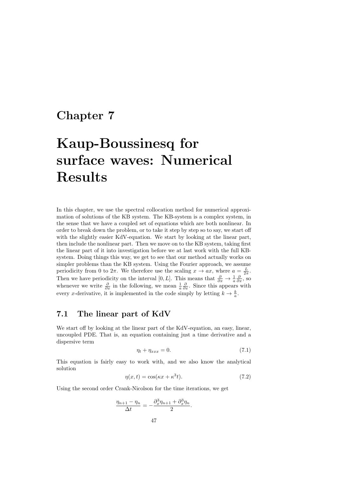# Chapter 7

# Kaup-Boussinesq for surface waves: Numerical Results

In this chapter, we use the spectral collocation method for numerical approximation of solutions of the KB system. The KB-system is a complex system, in the sense that we have a coupled set of equations which are both nonlinear. In order to break down the problem, or to take it step by step so to say, we start off with the slightly easier KdV-equation. We start by looking at the linear part, then include the nonlinear part. Then we move on to the KB system, taking first the linear part of it into investigation before we at last work with the full KBsystem. Doing things this way, we get to see that our method actually works on simpler problems than the KB system. Using the Fourier approach, we assume periodicity from 0 to  $2\pi$ . We therefore use the scaling  $x \to ax$ , where  $a = \frac{L}{2\pi}$ . Then we have periodicity on the interval  $[0, L]$ . This means that  $\frac{\partial}{\partial x} \to \frac{1}{a} \frac{\partial}{\partial x}$ , so whenever we write  $\frac{\partial}{\partial x}$  in the following, we mean  $\frac{1}{a} \frac{\partial}{\partial x}$ . Since this appears with every x-derivative, it is implemented in the code simply by letting  $k \to \frac{k}{a}$ .

## 7.1 The linear part of KdV

We start off by looking at the linear part of the KdV-equation, an easy, linear, uncoupled PDE. That is, an equation containing just a time derivative and a dispersive term

$$
\eta_t + \eta_{xxx} = 0. \tag{7.1}
$$

This equation is fairly easy to work with, and we also know the analytical solution

$$
\eta(x,t) = \cos(\kappa x + \kappa^3 t). \tag{7.2}
$$

Using the second order Crank-Nicolson for the time iterations, we get

$$
\frac{\eta_{n+1} - \eta_n}{\Delta t} = -\frac{\partial_x^3 \eta_{n+1} + \partial_x^3 \eta_n}{2}.
$$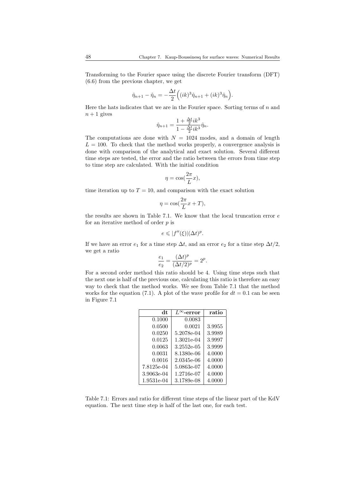Transforming to the Fourier space using the discrete Fourier transform (DFT) (6.6) from the previous chapter, we get

$$
\hat{\eta}_{n+1} - \hat{\eta}_n = -\frac{\Delta t}{2} \Big( (ik)^3 \hat{\eta}_{n+1} + (ik)^3 \hat{\eta}_n \Big).
$$

Here the hats indicates that we are in the Fourier space. Sorting terms of  $n$  and  $n+1$  gives

$$
\hat{\eta}_{n+1} = \frac{1 + \frac{\Delta t}{2}ik^3}{1 - \frac{\Delta t}{2}ik^3}\hat{\eta}_n.
$$

The computations are done with  $N = 1024$  modes, and a domain of length  $L = 100$ . To check that the method works properly, a convergence analysis is done with comparison of the analytical and exact solution. Several different time steps are tested, the error and the ratio between the errors from time step to time step are calculated. With the initial condition

$$
\eta = \cos(\frac{2\pi}{L}x),
$$

time iteration up to  $T = 10$ , and comparison with the exact solution

$$
\eta = \cos(\frac{2\pi}{L}x + T),
$$

the results are shown in Table 7.1. We know that the local truncation error  $e$ for an iterative method of order  $p$  is

$$
e \leqslant |f''(\xi)| (\Delta t)^p.
$$

If we have an error  $e_1$  for a time step  $\Delta t$ , and an error  $e_2$  for a time step  $\Delta t/2$ , we get a ratio

$$
\frac{e_1}{e_2}=\frac{(\Delta t)^p}{(\Delta t/2)^p}=2^p.
$$

For a second order method this ratio should be 4. Using time steps such that the next one is half of the previous one, calculating this ratio is therefore an easy way to check that the method works. We see from Table 7.1 that the method works for the equation (7.1). A plot of the wave profile for  $dt = 0.1$  can be seen in Figure 7.1

| dt         | $L^{\infty}$ -error | ratio  |
|------------|---------------------|--------|
| 0.1000     | 0.0083              |        |
| 0.0500     | 0.0021              | 3.9955 |
| 0.0250     | 5.2078e-04          | 3.9989 |
| 0.0125     | 1.3021e-04          | 3.9997 |
| 0.0063     | 3.2552e-05          | 3.9999 |
| 0.0031     | 8.1380e-06          | 4.0000 |
| 0.0016     | 2.0345e-06          | 4.0000 |
| 7.8125e-04 | 5.0863e-07          | 4.0000 |
| 3.9063e-04 | 1.2716e-07          | 4.0000 |
| 1.9531e-04 | 3.1789e-08          | 4.0000 |

Table 7.1: Errors and ratio for different time steps of the linear part of the KdV equation. The next time step is half of the last one, for each test.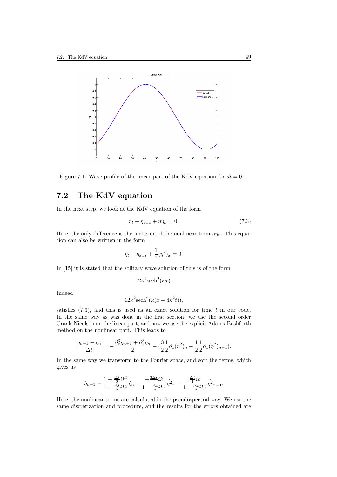

Figure 7.1: Wave profile of the linear part of the KdV equation for  $dt = 0.1$ .

# 7.2 The KdV equation

In the next step, we look at the KdV equation of the form

$$
\eta_t + \eta_{xxx} + \eta \eta_x = 0. \tag{7.3}
$$

Here, the only difference is the inclusion of the nonlinear term  $\eta \eta_x$ . This equation can also be written in the form

$$
\eta_t + \eta_{xxx} + \frac{1}{2}(\eta^2)_x = 0.
$$

In [15] it is stated that the solitary wave solution of this is of the form

$$
12\kappa^2 \mathrm{sech}^2(\kappa x).
$$

Indeed

$$
12\kappa^2 \mathrm{sech}^2(\kappa(x - 4\kappa^2 t)),
$$

satisfies  $(7.3)$ , and this is used as an exact solution for time t in our code. In the same way as was done in the first section, we use the second order Crank-Nicolson on the linear part, and now we use the explicit Adams-Bashforth method on the nonlinear part. This leads to

$$
\frac{\eta_{n+1} - \eta_n}{\Delta t} = -\frac{\partial_x^3 \eta_{n+1} + \partial_x^3 \eta_n}{2} - \left(\frac{3}{2} \frac{1}{2} \partial_x (\eta^2)_n - \frac{1}{2} \frac{1}{2} \partial_x (\eta^2)_{n-1}\right).
$$

In the same way we transform to the Fourier space, and sort the terms, which gives us

$$
\hat{\eta}_{n+1}=\frac{1+\frac{\Delta t}{2}ik^3}{1-\frac{\Delta t}{2}ik^3}\hat{\eta}_{n}+\frac{-\frac{3\Delta t}{4}ik}{1-\frac{\Delta t}{2}ik^3}\hat{\eta}^2_{n}+\frac{\frac{\Delta t}{4}ik}{1-\frac{\Delta t}{2}ik^3}\hat{\eta}^2_{n-1}.
$$

Here, the nonlinear terms are calculated in the pseudospectral way. We use the same discretization and procedure, and the results for the errors obtained are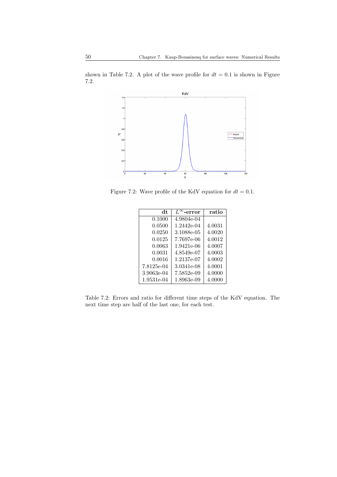shown in Table 7.2. A plot of the wave profile for  $dt = 0.1$  is shown in Figure 7.2.



Figure 7.2: Wave profile of the KdV equation for  $dt = 0.1$ .

| dt         | $L^{\infty}$ -error | ratio  |
|------------|---------------------|--------|
| 0.1000     | 4.9804e-04          |        |
| 0.0500     | 1.2442e-04          | 4.0031 |
| 0.0250     | 3.1088e-05          | 4.0020 |
| 0.0125     | 7.7697e-06          | 4.0012 |
| 0.0063     | 1.9421e-06          | 4.0007 |
| 0.0031     | 4.8549e-07          | 4.0003 |
| 0.0016     | 1.2137e-07          | 4.0002 |
| 7.8125e-04 | 3.0341e-08          | 4.0001 |
| 3.9063e-04 | 7.5852e-09          | 4.0000 |
| 1.9531e-04 | 1.8963e-09          | 4.0000 |

Table 7.2: Errors and ratio for different time steps of the KdV equation. The next time step are half of the last one, for each test.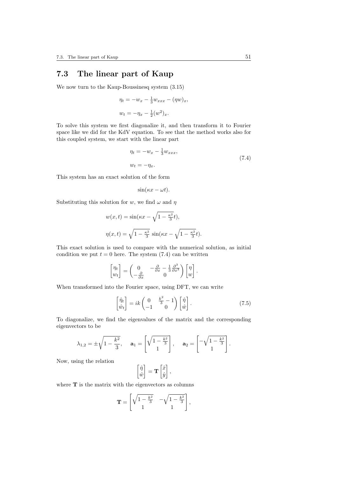# 7.3 The linear part of Kaup

We now turn to the Kaup-Boussinesq system (3.15)

$$
\eta_t = -w_x - \frac{1}{3}w_{xxx} - (\eta w)_x,
$$
  

$$
w_t = -\eta_x - \frac{1}{2}(w^2)_x.
$$

To solve this system we first diagonalize it, and then transform it to Fourier space like we did for the KdV equation. To see that the method works also for this coupled system, we start with the linear part

$$
\eta_t = -w_x - \frac{1}{3}w_{xxx},
$$
  
\n
$$
w_t = -\eta_x.
$$
\n(7.4)

This system has an exact solution of the form

$$
\sin(\kappa x - \omega t).
$$

Substituting this solution for w, we find  $\omega$  and  $\eta$ 

$$
w(x,t) = \sin(\kappa x - \sqrt{1 - \frac{\kappa^2}{3}}t),
$$

$$
\eta(x,t) = \sqrt{1 - \frac{\kappa^2}{3}}\sin(\kappa x - \sqrt{1 - \frac{\kappa^2}{3}}t).
$$

This exact solution is used to compare with the numerical solution, as initial condition we put  $t = 0$  here. The system (7.4) can be written

$$
\begin{bmatrix} \eta_t \\ w_t \end{bmatrix} = \begin{pmatrix} 0 & -\frac{\partial}{\partial x} - \frac{1}{3} \frac{\partial^3}{\partial x^3} \\ -\frac{\partial}{\partial x} & 0 \end{pmatrix} \begin{bmatrix} \eta \\ w \end{bmatrix}.
$$

When transformed into the Fourier space, using DFT, we can write

$$
\begin{bmatrix} \hat{\eta}_t \\ \hat{w}_t \end{bmatrix} = ik \begin{pmatrix} 0 & \frac{k^2}{3} - 1 \\ -1 & 0 \end{pmatrix} \begin{bmatrix} \hat{\eta} \\ \hat{w} \end{bmatrix}.
$$
 (7.5)

To diagonalize, we find the eigenvalues of the matrix and the corresponding eigenvectors to be

$$
\lambda_{1,2} = \pm \sqrt{1 - \frac{k^2}{3}}, \quad \mathbf{a}_1 = \begin{bmatrix} \sqrt{1 - \frac{k^2}{3}} \\ 1 \end{bmatrix}, \quad \mathbf{a}_2 = \begin{bmatrix} -\sqrt{1 - \frac{k^2}{3}} \\ 1 \end{bmatrix}.
$$

Now, using the relation

$$
\begin{bmatrix} \hat{\eta} \\ \hat{w} \end{bmatrix} = \mathbf{T} \begin{bmatrix} \hat{x} \\ \hat{y} \end{bmatrix},
$$

where  $T$  is the matrix with the eigenvectors as columns

$$
\mathbf{T} = \begin{bmatrix} \sqrt{1 - \frac{k^2}{3}} & -\sqrt{1 - \frac{k^2}{3}} \\ 1 & 1 \end{bmatrix},
$$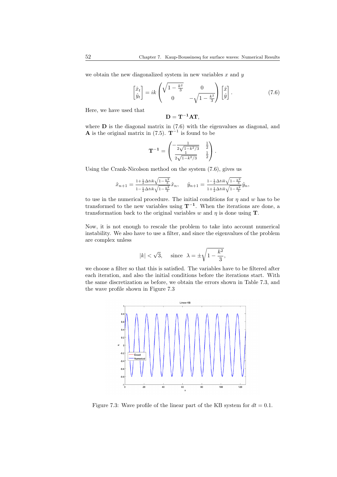we obtain the new diagonalized system in new variables  $x$  and  $y$ 

$$
\begin{bmatrix} \hat{x}_t \\ \hat{y}_t \end{bmatrix} = ik \begin{pmatrix} \sqrt{1 - \frac{k^2}{3}} & 0 \\ 0 & -\sqrt{1 - \frac{k^2}{3}} \end{pmatrix} \begin{bmatrix} \hat{x} \\ \hat{y} \end{bmatrix}.
$$
 (7.6)

Here, we have used that

$$
\mathbf{D}=\mathbf{T}^{-1}\mathbf{A}\mathbf{T},
$$

where **D** is the diagonal matrix in  $(7.6)$  with the eigenvalues as diagonal, and **A** is the original matrix in  $(7.5)$ .  $\mathbf{T}^{-1}$  is found to be

$$
\mathbf{T}^{-1} = \begin{pmatrix} -\frac{1}{2\sqrt{1-k^2/3}} & \frac{1}{2} \\ \frac{1}{2\sqrt{1-k^2/3}} & \frac{1}{2} \end{pmatrix}.
$$

Using the Crank-Nicolson method on the system (7.6), gives us

$$
\hat{x}_{n+1} = \frac{1 + \frac{1}{2}\Delta t i k \sqrt{1 - \frac{k^2}{3}}}{1 - \frac{1}{2}\Delta t i k \sqrt{1 - \frac{k^2}{3}}} \hat{x}_n, \quad \hat{y}_{n+1} = \frac{1 - \frac{1}{2}\Delta t i k \sqrt{1 - \frac{k^2}{3}}}{1 + \frac{1}{2}\Delta t i k \sqrt{1 - \frac{k^2}{3}}} \hat{y}_n,
$$

to use in the numerical procedure. The initial conditions for  $\eta$  and w has to be transformed to the new variables using  $T^{-1}$ . When the iterations are done, a transformation back to the original variables w and  $\eta$  is done using **T**.

Now, it is not enough to rescale the problem to take into account numerical instability. We also have to use a filter, and since the eigenvalues of the problem are complex unless

$$
|k| < \sqrt{3}, \quad \text{ since } \lambda = \pm \sqrt{1 - \frac{k^2}{3}},
$$

we choose a filter so that this is satisfied. The variables have to be filtered after each iteration, and also the initial conditions before the iterations start. With the same discretization as before, we obtain the errors shown in Table 7.3, and the wave profile shown in Figure 7.3



Figure 7.3: Wave profile of the linear part of the KB system for  $dt = 0.1$ .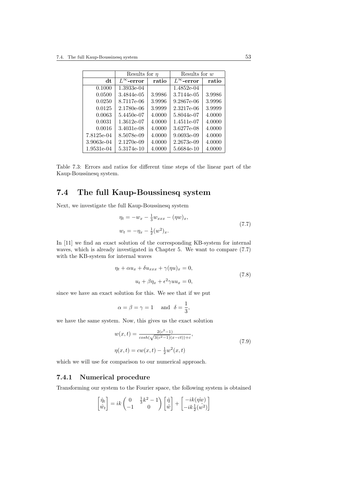|            | Results for $\eta$  |        | Results for $w$     |        |
|------------|---------------------|--------|---------------------|--------|
| dt         | $L^{\infty}$ -error | ratio  | $L^{\infty}$ -error | ratio  |
| 0.1000     | 1.3933e-04          |        | 1.4852e-04          |        |
| 0.0500     | 3.4844e-05          | 3.9986 | 3.7144e-05          | 3.9986 |
| 0.0250     | 8.7117e-06          | 3.9996 | 9.2867e-06          | 3.9996 |
| 0.0125     | 2.1780e-06          | 3.9999 | 2.3217e-06          | 3.9999 |
| 0.0063     | 5.4450e-07          | 4.0000 | 5.8044e-07          | 4.0000 |
| 0.0031     | 1.3612e-07          | 4.0000 | 1.4511e-07          | 4.0000 |
| 0.0016     | 3.4031e-08          | 4.0000 | 3.6277e-08          | 4.0000 |
| 7.8125e-04 | 8.5078e-09          | 4.0000 | $9.0693e-09$        | 4.0000 |
| 3.9063e-04 | 2.1270e-09          | 4.0000 | 2.2673e-09          | 4.0000 |
| 1.9531e-04 | 5.3174e-10          | 4.0000 | 5.6684e-10          | 4.0000 |

Table 7.3: Errors and ratios for different time steps of the linear part of the Kaup-Boussinesq system.

# 7.4 The full Kaup-Boussinesq system

Next, we investigate the full Kaup-Boussinesq system

$$
\eta_t = -w_x - \frac{1}{3}w_{xxx} - (\eta w)_x,
$$
  

$$
w_t = -\eta_x - \frac{1}{2}(w^2)_x.
$$
 (7.7)

In [11] we find an exact solution of the corresponding KB-system for internal waves, which is already investigated in Chapter 5. We want to compare (7.7) with the KB-system for internal waves

$$
\eta_t + \alpha u_x + \delta u_{xxx} + \gamma(\eta u)_x = 0,
$$
  

$$
u_t + \beta \eta_x + \epsilon^2 \gamma u u_x = 0,
$$
 (7.8)

since we have an exact solution for this. We see that if we put

$$
\alpha = \beta = \gamma = 1
$$
 and  $\delta = \frac{1}{3}$ ,

we have the same system. Now, this gives us the exact solution

$$
w(x,t) = \frac{2(c^2-1)}{\cosh(\sqrt{3(c^2-1)}(x-ct))+c},
$$
  
\n
$$
\eta(x,t) = cw(x,t) - \frac{1}{2}w^2(x,t)
$$
\n(7.9)

which we will use for comparison to our numerical approach.

#### 7.4.1 Numerical procedure

Transforming our system to the Fourier space, the following system is obtained

$$
\begin{bmatrix} \hat{\eta}_t \\ \hat{w}_t \end{bmatrix} = ik \begin{pmatrix} 0 & \frac{1}{3}k^2 - 1 \\ -1 & 0 \end{pmatrix} \begin{bmatrix} \hat{\eta} \\ \hat{w} \end{bmatrix} + \begin{bmatrix} -ik(\hat{\eta}w) \\ -ik\frac{1}{2}(\hat{w}^2) \end{bmatrix}
$$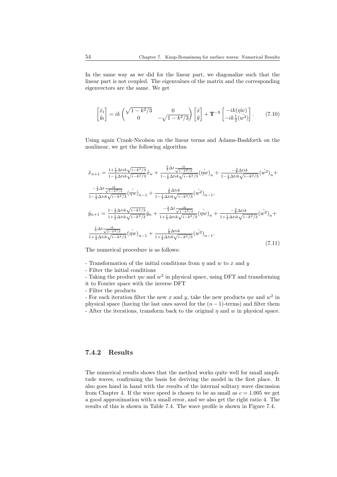In the same way as we did for the linear part, we diagonalize such that the linear part is not coupled. The eigenvalues of the matrix and the corresponding eigenvectors are the same. We get

$$
\begin{bmatrix} \hat{x}_t \\ \hat{y}_t \end{bmatrix} = ik \begin{pmatrix} \sqrt{1 - k^2/3} & 0 \\ 0 & -\sqrt{1 - k^2/3} \end{pmatrix} \begin{bmatrix} \hat{x} \\ \hat{y} \end{bmatrix} + \mathbf{T}^{-1} \begin{bmatrix} -ik(\hat{\eta w}) \\ -ik\frac{1}{2}(\hat{w^2}) \end{bmatrix}.
$$
 (7.10)

Using again Crank-Nicolson on the linear terms and Adams-Bashforth on the nonlinear, we get the following algorithm

$$
\hat{x}_{n+1} = \frac{1 + \frac{1}{2}\Delta t i k \sqrt{i - k^2/3}}{1 - \frac{1}{2}\Delta t i k \sqrt{i - k^2/3}} \hat{x}_n + \frac{\frac{3}{4}\Delta t \frac{i k}{\sqrt{1 - k^2/3}}}{1 - \frac{1}{2}\Delta t i k \sqrt{i - k^2/3}} (\hat{\eta w})_n + \frac{-\frac{3}{8}\Delta t i k}{1 - \frac{1}{2}\Delta t i k \sqrt{i - k^2/3}} (\hat{w}^2)_n + \frac{-\frac{1}{4}\Delta t \frac{i k}{\sqrt{1 - k^2/3}}}{1 - \frac{1}{2}\Delta t i k \sqrt{i - k^2/3}} (\hat{\eta w})_{n-1} + \frac{\frac{1}{8}\Delta t i k}{1 - \frac{1}{2}\Delta t i k \sqrt{i - k^2/3}} (\hat{w}^2)_{n-1},
$$
\n
$$
\hat{y}_{n+1} = \frac{1 - \frac{1}{2}\Delta t i k \sqrt{i - k^2/3}}{1 + \frac{1}{2}\Delta t i k \sqrt{i - k^2/3}} \hat{y}_n + \frac{-\frac{3}{4}\Delta t \frac{i k}{\sqrt{1 - k^2/3}}}{1 + \frac{1}{2}\Delta t i k \sqrt{i - k^2/3}} (\hat{\eta w})_n + \frac{-\frac{3}{8}\Delta t i k}{1 + \frac{1}{2}\Delta t i k \sqrt{i - k^2/3}} (\hat{w}^2)_n + \frac{\frac{1}{4}\Delta t \frac{i k}{\sqrt{1 - k^2/3}}}{1 + \frac{1}{2}\Delta t i k \sqrt{i - k^2/3}} (\hat{w}^2)_{n-1} + \frac{\frac{1}{8}\Delta t i k}{1 + \frac{1}{2}\Delta t i k \sqrt{i - k^2/3}} (\hat{w}^2)_{n-1}.
$$
\n(7.11)

The numerical procedure is as follows:

- Transformation of the initial conditions from  $\eta$  and  $w$  to  $x$  and  $y$
- Filter the initial conditions

- Taking the product  $\eta w$  and  $w^2$  in physical space, using DFT and transforming it to Fourier space with the inverse DFT

- Filter the products

- For each iteration filter the new x and y, take the new products  $\eta w$  and  $w^2$  in physical space (having the last ones saved for the  $(n-1)$ -terms) and filter them - After the iterations, transform back to the original  $\eta$  and  $w$  in physical space.

#### 7.4.2 Results

The numerical results shows that the method works quite well for small amplitude waves, confirming the basis for deriving the model in the first place. It also goes hand in hand with the results of the internal solitary wave discussion from Chapter 4. If the wave speed is chosen to be as small as  $c = 1.005$  we get a good approximation with a small error, and we also get the right ratio 4. The results of this is shown in Table 7.4. The wave profile is shown in Figure 7.4.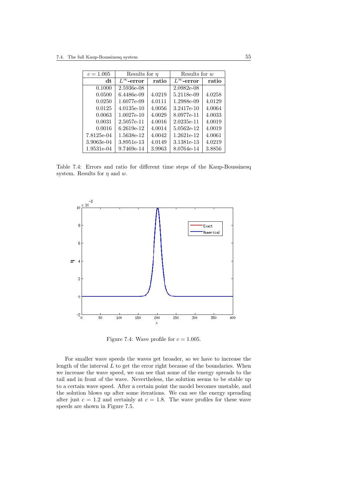| $c = 1.005$ | Results for $\eta$  |        | Results for w       |        |
|-------------|---------------------|--------|---------------------|--------|
| dt          | $L^{\infty}$ -error | ratio  | $L^{\infty}$ -error | ratio  |
| 0.1000      | 2.5936e-08          |        | $2.0982e-08$        |        |
| 0.0500      | 6.4486e-09          | 4.0219 | 5.2118e-09          | 4.0258 |
| 0.0250      | 1.6077e-09          | 4.0111 | 1.2988e-09          | 4.0129 |
| 0.0125      | 4.0135e-10          | 4.0056 | 3.2417e-10          | 4.0064 |
| 0.0063      | $1.0027e-10$        | 4.0029 | 8.0977e-11          | 4.0033 |
| 0.0031      | 2.5057e-11          | 4.0016 | 2.0235e-11          | 4.0019 |
| 0.0016      | $6.2619e-12$        | 4.0014 | 5.0562e-12          | 4.0019 |
| 7.8125e-04  | 1.5638e-12          | 4.0042 | 1.2621e-12          | 4.0061 |
| 3.9063e-04  | 3.8951e-13          | 4.0149 | 3.1381e-13          | 4.0219 |
| 1.9531e-04  | 9.7469e-14          | 3.9963 | 8.0764e-14          | 3.8856 |

Table 7.4: Errors and ratio for different time steps of the Kaup-Boussinesq system. Results for  $\eta$  and w.



Figure 7.4: Wave profile for  $c = 1.005$ .

For smaller wave speeds the waves get broader, so we have to increase the length of the interval  $L$  to get the error right because of the boundaries. When we increase the wave speed, we can see that some of the energy spreads to the tail and in front of the wave. Nevertheless, the solution seems to be stable up to a certain wave speed. After a certain point the model becomes unstable, and the solution blows up after some iterations. We can see the energy spreading after just  $c = 1.2$  and certainly at  $c = 1.8$ . The wave profiles for these wave speeds are shown in Figure 7.5.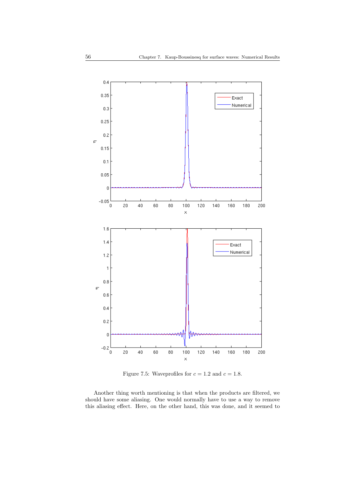

Figure 7.5: Waveprofiles for  $c = 1.2$  and  $c = 1.8$ .

Another thing worth mentioning is that when the products are filtered, we should have some aliasing. One would normally have to use a way to remove this aliasing effect. Here, on the other hand, this was done, and it seemed to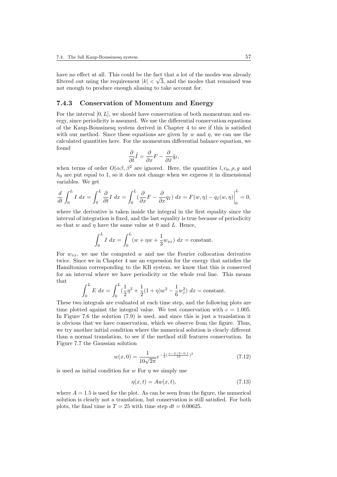have no effect at all. This could be the fact that a lot of the modes was already filtered out using the requirement  $|k| < \sqrt{3}$ , and the modes that remained was not enough to produce enough aliasing to take account for.

#### 7.4.3 Conservation of Momentum and Energy

For the interval  $[0, L]$ , we should have conservation of both momentum and energy, since periodicity is assumed. We use the differential conservation equations of the Kaup-Boussinesq system derived in Chapter 4 to see if this is satisfied with our method. Since these equations are given by w and  $\eta$ , we can use the calculated quantities here. For the momentum differential balance equation, we found

$$
\frac{\partial}{\partial \tilde{t}} \tilde{I} = \frac{\partial}{\partial x} F - \frac{\partial}{\partial \tilde{x}} \tilde{q}_I,
$$

when terms of order  $O(\alpha\beta, \beta^2)$  are ignored. Here, the quantities l,  $c_0, \rho, q$  and  $h_0$  are put equal to 1, so it does not change when we express it in dimensional variables. We get

$$
\frac{d}{dt} \int_0^L I \, dx = \int_0^L \frac{\partial}{\partial t} I \, dx = \int_0^L \left( \frac{\partial}{\partial x} F - \frac{\partial}{\partial x} q_I \right) \, dx = F(w, \eta) - q_I(w, \eta) \Big|_0^L = 0,
$$

where the derivative is taken inside the integral in the first equality since the interval of integration is fixed, and the last equality is true because of periodicity so that w and  $\eta$  have the same value at 0 and L. Hence,

$$
\int_0^L I \, dx = \int_0^L (w + \eta w + \frac{1}{3} w_{xx}) \, dx = \text{constant}.
$$

For  $w_{xx}$ , we use the computed w and use the Fourier collocation derivative twice. Since we in Chapter 4 use an expression for the energy that satisfies the Hamiltonian corresponding to the KB system, we know that this is conserved for an interval where we have periodicity or the whole real line. This means that

$$
\int_0^L E \, dx = \int_0^L \left(\frac{1}{2}\eta^2 + \frac{1}{2}(1+\eta)w^2 - \frac{1}{6}w_x^2\right) dx = \text{constant}.
$$

These two integrals are evaluated at each time step, and the following plots are time plotted against the integral value. We test conservation with  $c = 1.005$ . In Figure 7.6 the solution (7.9) is used, and since this is just a translation it is obvious that we have conservation, which we observe from the figure. Thus, we try another initial condition where the numerical solution is clearly different than a normal translation, to see if the method still features conservation. In Figure 7.7 the Gaussian solution

$$
w(x,0) = \frac{1}{10\sqrt{2\pi}}e^{-\frac{1}{2}(\frac{x-L/2-0.1}{10})^2}
$$
\n(7.12)

is used as initial condition for  $w$  For  $n$  we simply use

$$
\eta(x,t) = Aw(x,t),\tag{7.13}
$$

where  $A = 1.5$  is used for the plot. As can be seen from the figure, the numerical solution is clearly not a translation, but conservation is still satisfied. For both plots, the final time is  $T = 25$  with time step  $dt = 0.00625$ .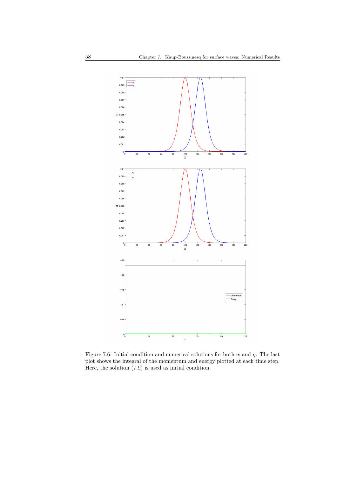

Figure 7.6: Initial condition and numerical solutions for both w and  $\eta$ . The last plot shows the integral of the momentum and energy plotted at each time step. Here, the solution (7.9) is used as initial condition.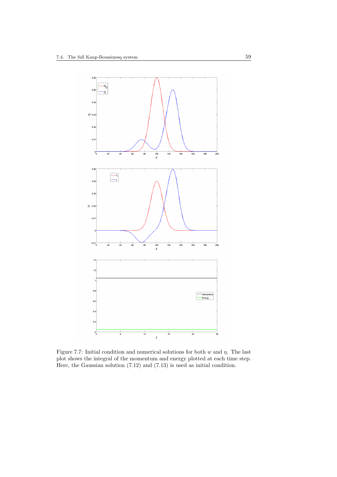

Figure 7.7: Initial condition and numerical solutions for both w and  $\eta$ . The last plot shows the integral of the momentum and energy plotted at each time step. Here, the Gaussian solution (7.12) and (7.13) is used as initial condition.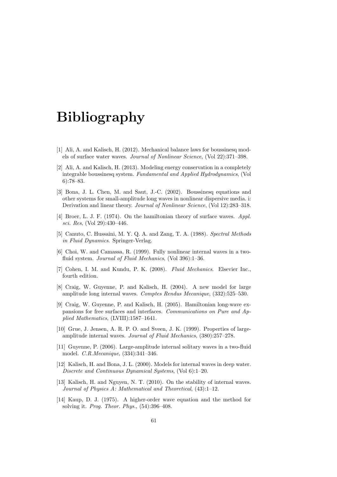# Bibliography

- [1] Ali, A. and Kalisch, H. (2012). Mechanical balance laws for boussinesq models of surface water waves. Journal of Nonlinear Science, (Vol 22):371–398.
- [2] Ali, A. and Kalisch, H. (2013). Modeling energy conservation in a completely integrable boussinesq system. Fundamental and Applied Hydrodynamics, (Vol 6):78–83.
- [3] Bona, J. L. Chen, M. and Saut, J.-C. (2002). Boussinesq equations and other systems for small-amplitude long waves in nonlinear dispersive media. i: Derivation and linear theory. Journal of Nonlinear Science, (Vol 12):283–318.
- [4] Broer, L. J. F. (1974). On the hamiltonian theory of surface waves. Appl. sci. Res, (Vol 29):430–446.
- [5] Canuto, C. Hussaini, M. Y. Q. A. and Zang, T. A. (1988). Spectral Methods in Fluid Dynamics. Springer-Verlag.
- [6] Choi, W. and Camassa, R. (1999). Fully nonlinear internal waves in a twofluid system. Journal of Fluid Mechanics, (Vol 396):1-36.
- [7] Cohen, I. M. and Kundu, P. K. (2008). Fluid Mechanics. Elsevier Inc., fourth edition.
- [8] Craig, W. Guyenne, P. and Kalisch, H. (2004). A new model for large amplitude long internal waves. Comptes Rendus Mecanique, (332):525–530.
- [9] Craig, W. Guyenne, P. and Kalisch, H. (2005). Hamiltonian long-wave expansions for free surfaces and interfaces. Communications on Pure and Applied Mathematics, (LVIII):1587–1641.
- [10] Grue, J. Jensen, A. R. P. O. and Sveen, J. K. (1999). Properties of largeamplitude internal waves. Journal of Fluid Mechanics, (380):257–278.
- [11] Guyenne, P. (2006). Large-amplitude internal solitary waves in a two-fluid model. C.R.Mecanique, (334):341–346.
- [12] Kalisch, H. and Bona, J. L. (2000). Models for internal waves in deep water. Discrete and Continuous Dynamical Systems, (Vol 6):1–20.
- [13] Kalisch, H. and Nguyen, N. T. (2010). On the stability of internal waves. Journal of Physics A: Mathematical and Theoretical, (43):1–12.
- [14] Kaup, D. J. (1975). A higher-order wave equation and the method for solving it. Prog. Theor. Phys., (54):396–408.